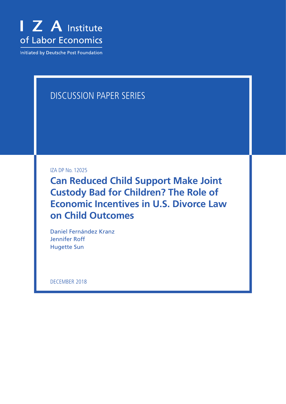

**Initiated by Deutsche Post Foundation** 

# DISCUSSION PAPER SERIES

IZA DP No. 12025

**Can Reduced Child Support Make Joint Custody Bad for Children? The Role of Economic Incentives in U.S. Divorce Law on Child Outcomes**

Daniel Fernández Kranz Jennifer Roff Hugette Sun

DECEMBER 2018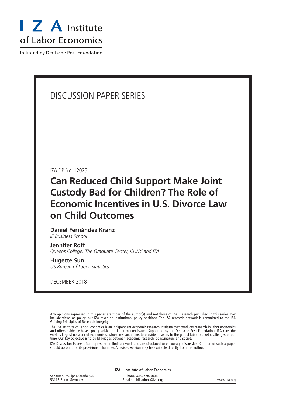

Initiated by Deutsche Post Foundation

# DISCUSSION PAPER SERIES

IZA DP No. 12025

# **Can Reduced Child Support Make Joint Custody Bad for Children? The Role of Economic Incentives in U.S. Divorce Law on Child Outcomes**

# **Daniel Fernández Kranz**

*IE Business School*

#### **Jennifer Roff**

*Queens College, The Graduate Center, CUNY and IZA*

#### **Hugette Sun**

*US Bureau of Labor Statistics*

DECEMBER 2018

Any opinions expressed in this paper are those of the author(s) and not those of IZA. Research published in this series may include views on policy, but IZA takes no institutional policy positions. The IZA research network is committed to the IZA Guiding Principles of Research Integrity.

The IZA Institute of Labor Economics is an independent economic research institute that conducts research in labor economics and offers evidence-based policy advice on labor market issues. Supported by the Deutsche Post Foundation, IZA runs the world's largest network of economists, whose research aims to provide answers to the global labor market challenges of our time. Our key objective is to build bridges between academic research, policymakers and society.

IZA Discussion Papers often represent preliminary work and are circulated to encourage discussion. Citation of such a paper should account for its provisional character. A revised version may be available directly from the author.

|                                                    | <b>IZA</b> – Institute of Labor Economics            |             |
|----------------------------------------------------|------------------------------------------------------|-------------|
| Schaumburg-Lippe-Straße 5-9<br>53113 Bonn, Germany | Phone: +49-228-3894-0<br>Email: publications@iza.org | www.iza.org |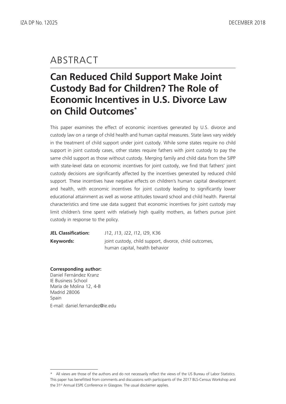# ABSTRACT

# **Can Reduced Child Support Make Joint Custody Bad for Children? The Role of Economic Incentives in U.S. Divorce Law on Child Outcomes\***

This paper examines the effect of economic incentives generated by U.S. divorce and custody law on a range of child health and human capital measures. State laws vary widely in the treatment of child support under joint custody. While some states require no child support in joint custody cases, other states require fathers with joint custody to pay the same child support as those without custody. Merging family and child data from the SIPP with state-level data on economic incentives for joint custody, we find that fathers' joint custody decisions are significantly affected by the incentives generated by reduced child support. These incentives have negative effects on children's human capital development and health, with economic incentives for joint custody leading to significantly lower educational attainment as well as worse attitudes toward school and child health. Parental characteristics and time use data suggest that economic incentives for joint custody may limit children's time spent with relatively high quality mothers, as fathers pursue joint custody in response to the policy.

| <b>JEL Classification:</b> | J12, J13, J22, I12, I29, K36                           |
|----------------------------|--------------------------------------------------------|
| Keywords:                  | joint custody, child support, divorce, child outcomes, |
|                            | human capital, health behavior                         |

**Corresponding author:**

Daniel Fernández Kranz IE Business School María de Molina 12, 4-B Madrid 28006 Spain E-mail: daniel.fernandez@ie.edu

<sup>\*</sup> All views are those of the authors and do not necessarily reflect the views of the US Bureau of Labor Statistics. This paper has benefitted from comments and discussions with participants of the 2017 BLS-Census Workshop and the 31<sup>st</sup> Annual ESPE Conference in Glasgow. The usual disclaimer applies.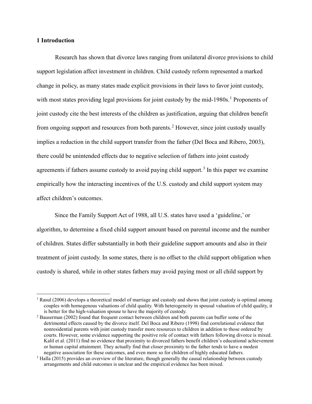#### **1 Introduction**

Research has shown that divorce laws ranging from unilateral divorce provisions to child support legislation affect investment in children. Child custody reform represented a marked change in policy, as many states made explicit provisions in their laws to favor joint custody, with most states providing legal provisions for joint custody by the mid-[1](#page-3-0)980s.<sup>1</sup> Proponents of joint custody cite the best interests of the children as justification, arguing that children benefit from ongoing support and resources from both parents.<sup>[2](#page-3-1)</sup> However, since joint custody usually implies a reduction in the child support transfer from the father (Del Boca and Ribero, 2003), there could be unintended effects due to negative selection of fathers into joint custody agreements if fathers assume custody to avoid paying child support.<sup>[3](#page-3-2)</sup> In this paper we examine empirically how the interacting incentives of the U.S. custody and child support system may affect children's outcomes.

Since the Family Support Act of 1988, all U.S. states have used a 'guideline,' or algorithm, to determine a fixed child support amount based on parental income and the number of children. States differ substantially in both their guideline support amounts and also in their treatment of joint custody. In some states, there is no offset to the child support obligation when custody is shared, while in other states fathers may avoid paying most or all child support by

<span id="page-3-0"></span> $1$  Rasul (2006) develops a theoretical model of marriage and custody and shows that joint custody is optimal among couples with homogenous valuations of child quality. With heterogeneity in spousal valuation of child quality, it

<span id="page-3-1"></span> $^{2}$  Bauserman (2002) found that frequent contact between children and both parents can buffer some of the detrimental effects caused by the divorce itself. Del Boca and Ribero (1998) find correlational evidence that nonresidential parents with joint custody transfer more resources to children in addition to those ordered by courts. However, some evidence supporting the positive role of contact with fathers following divorce is mixed. Kalil et al. (2011) find no evidence that proximity to divorced fathers benefit children's educational achievement or human capital attainment. They actually find that closer proximity to the father tends to have a modest negative association for these outcomes, and even more so for children of highly educated fathers.

<span id="page-3-2"></span> $3$  Halla (2015) provides an overview of the literature, though generally the causal relationship between custody arrangements and child outcomes is unclear and the empirical evidence has been mixed.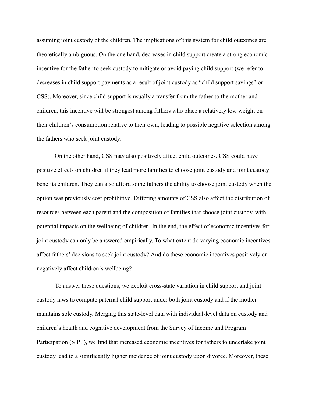assuming joint custody of the children. The implications of this system for child outcomes are theoretically ambiguous. On the one hand, decreases in child support create a strong economic incentive for the father to seek custody to mitigate or avoid paying child support (we refer to decreases in child support payments as a result of joint custody as "child support savings" or CSS). Moreover, since child support is usually a transfer from the father to the mother and children, this incentive will be strongest among fathers who place a relatively low weight on their children's consumption relative to their own, leading to possible negative selection among the fathers who seek joint custody.

On the other hand, CSS may also positively affect child outcomes. CSS could have positive effects on children if they lead more families to choose joint custody and joint custody benefits children. They can also afford some fathers the ability to choose joint custody when the option was previously cost prohibitive. Differing amounts of CSS also affect the distribution of resources between each parent and the composition of families that choose joint custody, with potential impacts on the wellbeing of children. In the end, the effect of economic incentives for joint custody can only be answered empirically. To what extent do varying economic incentives affect fathers' decisions to seek joint custody? And do these economic incentives positively or negatively affect children's wellbeing?

To answer these questions, we exploit cross-state variation in child support and joint custody laws to compute paternal child support under both joint custody and if the mother maintains sole custody. Merging this state-level data with individual-level data on custody and children's health and cognitive development from the Survey of Income and Program Participation (SIPP), we find that increased economic incentives for fathers to undertake joint custody lead to a significantly higher incidence of joint custody upon divorce. Moreover, these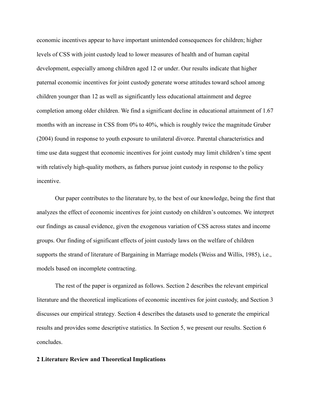economic incentives appear to have important unintended consequences for children; higher levels of CSS with joint custody lead to lower measures of health and of human capital development, especially among children aged 12 or under. Our results indicate that higher paternal economic incentives for joint custody generate worse attitudes toward school among children younger than 12 as well as significantly less educational attainment and degree completion among older children. We find a significant decline in educational attainment of 1.67 months with an increase in CSS from 0% to 40%, which is roughly twice the magnitude Gruber (2004) found in response to youth exposure to unilateral divorce. Parental characteristics and time use data suggest that economic incentives for joint custody may limit children's time spent with relatively high-quality mothers, as fathers pursue joint custody in response to the policy incentive.

Our paper contributes to the literature by, to the best of our knowledge, being the first that analyzes the effect of economic incentives for joint custody on children's outcomes. We interpret our findings as causal evidence, given the exogenous variation of CSS across states and income groups. Our finding of significant effects of joint custody laws on the welfare of children supports the strand of literature of Bargaining in Marriage models (Weiss and Willis, 1985), i.e., models based on incomplete contracting.

The rest of the paper is organized as follows. Section 2 describes the relevant empirical literature and the theoretical implications of economic incentives for joint custody, and Section 3 discusses our empirical strategy. Section 4 describes the datasets used to generate the empirical results and provides some descriptive statistics. In Section 5, we present our results. Section 6 concludes.

### **2 Literature Review and Theoretical Implications**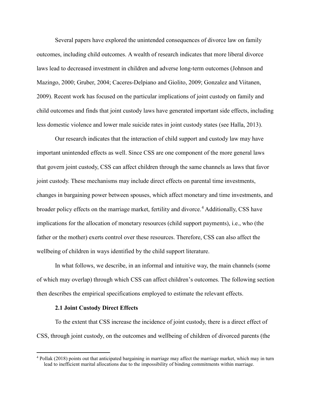Several papers have explored the unintended consequences of divorce law on family outcomes, including child outcomes. A wealth of research indicates that more liberal divorce laws lead to decreased investment in children and adverse long-term outcomes (Johnson and Mazingo, 2000; Gruber, 2004; Caceres-Delpiano and Giolito, 2009; Gonzalez and Viitanen, 2009). Recent work has focused on the particular implications of joint custody on family and child outcomes and finds that joint custody laws have generated important side effects, including less domestic violence and lower male suicide rates in joint custody states (see Halla, 2013).

Our research indicates that the interaction of child support and custody law may have important unintended effects as well. Since CSS are one component of the more general laws that govern joint custody, CSS can affect children through the same channels as laws that favor joint custody. These mechanisms may include direct effects on parental time investments, changes in bargaining power between spouses, which affect monetary and time investments, and broader policy effects on the marriage market, fertility and divorce.<sup>[4](#page-6-0)</sup> Additionally, CSS have implications for the allocation of monetary resources (child support payments), i.e., who (the father or the mother) exerts control over these resources. Therefore, CSS can also affect the wellbeing of children in ways identified by the child support literature.

In what follows, we describe, in an informal and intuitive way, the main channels (some of which may overlap) through which CSS can affect children's outcomes. The following section then describes the empirical specifications employed to estimate the relevant effects.

#### **2.1 Joint Custody Direct Effects**

To the extent that CSS increase the incidence of joint custody, there is a direct effect of CSS, through joint custody, on the outcomes and wellbeing of children of divorced parents (the

<span id="page-6-0"></span> <sup>4</sup> Pollak (2018) points out that anticipated bargaining in marriage may affect the marriage market, which may in turn lead to inefficient marital allocations due to the impossibility of binding commitments within marriage.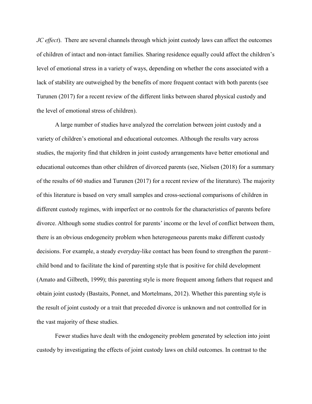*JC effect*). There are several channels through which joint custody laws can affect the outcomes of children of intact and non-intact families. Sharing residence equally could affect the children's level of emotional stress in a variety of ways, depending on whether the cons associated with a lack of stability are outweighed by the benefits of more frequent contact with both parents (see Turunen (2017) for a recent review of the different links between shared physical custody and the level of emotional stress of children).

A large number of studies have analyzed the correlation between joint custody and a variety of children's emotional and educational outcomes. Although the results vary across studies, the majority find that children in joint custody arrangements have better emotional and educational outcomes than other children of divorced parents (see, Nielsen (2018) for a summary of the results of 60 studies and Turunen (2017) for a recent review of the literature). The majority of this literature is based on very small samples and cross-sectional comparisons of children in different custody regimes, with imperfect or no controls for the characteristics of parents before divorce. Although some studies control for parents' income or the level of conflict between them, there is an obvious endogeneity problem when heterogeneous parents make different custody decisions. For example, a steady everyday-like contact has been found to strengthen the parent– child bond and to facilitate the kind of parenting style that is positive for child development (Amato and Gilbreth, 1999); this parenting style is more frequent among fathers that request and obtain joint custody (Bastaits, Ponnet, and Mortelmans, 2012). Whether this parenting style is the result of joint custody or a trait that preceded divorce is unknown and not controlled for in the vast majority of these studies.

Fewer studies have dealt with the endogeneity problem generated by selection into joint custody by investigating the effects of joint custody laws on child outcomes. In contrast to the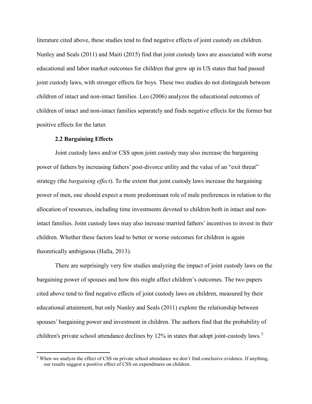literature cited above, these studies tend to find negative effects of joint custody on children. Nunley and Seals (2011) and Maiti (2015) find that joint custody laws are associated with worse educational and labor market outcomes for children that grew up in US states that had passed joint custody laws, with stronger effects for boys. These two studies do not distinguish between children of intact and non-intact families. Leo (2006) analyzes the educational outcomes of children of intact and non-intact families separately and finds negative effects for the former but positive effects for the latter.

#### **2.2 Bargaining Effects**

Joint custody laws and/or CSS upon joint custody may also increase the bargaining power of fathers by increasing fathers' post-divorce utility and the value of an "exit threat" strategy (the *bargaining effect*). To the extent that joint custody laws increase the bargaining power of men, one should expect a more predominant role of male preferences in relation to the allocation of resources, including time investments devoted to children both in intact and nonintact families. Joint custody laws may also increase married fathers' incentives to invest in their children. Whether these factors lead to better or worse outcomes for children is again theoretically ambiguous (Halla, 2013).

There are surprisingly very few studies analyzing the impact of joint custody laws on the bargaining power of spouses and how this might affect children's outcomes. The two papers cited above tend to find negative effects of joint custody laws on children, measured by their educational attainment, but only Nunley and Seals (2011) explore the relationship between spouses' bargaining power and investment in children. The authors find that the probability of children's private school attendance declines by 12% in states that adopt joint-custody laws.<sup>[5](#page-8-0)</sup>

<span id="page-8-0"></span><sup>&</sup>lt;sup>5</sup> When we analyze the effect of CSS on private school attendance we don't find conclusive evidence. If anything, our results suggest a positive effect of CSS on expenditures on children.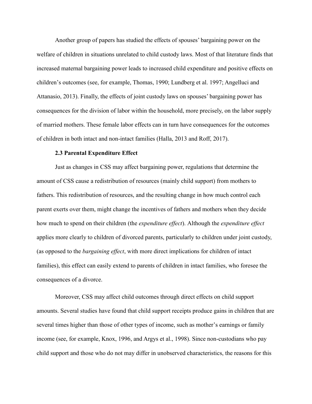Another group of papers has studied the effects of spouses' bargaining power on the welfare of children in situations unrelated to child custody laws. Most of that literature finds that increased maternal bargaining power leads to increased child expenditure and positive effects on children's outcomes (see, for example, Thomas, 1990; Lundberg et al. 1997; Angelluci and Attanasio, 2013). Finally, the effects of joint custody laws on spouses' bargaining power has consequences for the division of labor within the household, more precisely, on the labor supply of married mothers. These female labor effects can in turn have consequences for the outcomes of children in both intact and non-intact families (Halla, 2013 and Roff, 2017).

#### **2.3 Parental Expenditure Effect**

Just as changes in CSS may affect bargaining power, regulations that determine the amount of CSS cause a redistribution of resources (mainly child support) from mothers to fathers. This redistribution of resources, and the resulting change in how much control each parent exerts over them, might change the incentives of fathers and mothers when they decide how much to spend on their children (the *expenditure effect*). Although the *expenditure effect* applies more clearly to children of divorced parents, particularly to children under joint custody, (as opposed to the *bargaining effect*, with more direct implications for children of intact families), this effect can easily extend to parents of children in intact families, who foresee the consequences of a divorce.

Moreover, CSS may affect child outcomes through direct effects on child support amounts. Several studies have found that child support receipts produce gains in children that are several times higher than those of other types of income, such as mother's earnings or family income (see, for example, Knox, 1996, and Argys et al., 1998). Since non-custodians who pay child support and those who do not may differ in unobserved characteristics, the reasons for this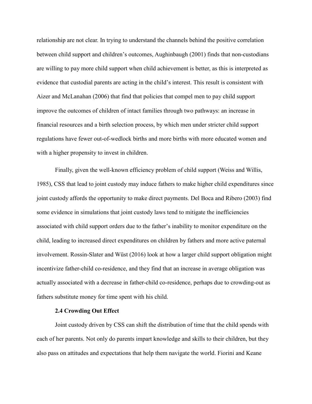relationship are not clear. In trying to understand the channels behind the positive correlation between child support and children's outcomes, Aughinbaugh (2001) finds that non-custodians are willing to pay more child support when child achievement is better, as this is interpreted as evidence that custodial parents are acting in the child's interest. This result is consistent with Aizer and McLanahan (2006) that find that policies that compel men to pay child support improve the outcomes of children of intact families through two pathways: an increase in financial resources and a birth selection process, by which men under stricter child support regulations have fewer out-of-wedlock births and more births with more educated women and with a higher propensity to invest in children.

Finally, given the well-known efficiency problem of child support (Weiss and Willis, 1985), CSS that lead to joint custody may induce fathers to make higher child expenditures since joint custody affords the opportunity to make direct payments. Del Boca and Ribero (2003) find some evidence in simulations that joint custody laws tend to mitigate the inefficiencies associated with child support orders due to the father's inability to monitor expenditure on the child, leading to increased direct expenditures on children by fathers and more active paternal involvement. Rossin-Slater and Wüst (2016) look at how a larger child support obligation might incentivize father-child co-residence, and they find that an increase in average obligation was actually associated with a decrease in father-child co-residence, perhaps due to crowding-out as fathers substitute money for time spent with his child.

### **2.4 Crowding Out Effect**

 Joint custody driven by CSS can shift the distribution of time that the child spends with each of her parents. Not only do parents impart knowledge and skills to their children, but they also pass on attitudes and expectations that help them navigate the world. Fiorini and Keane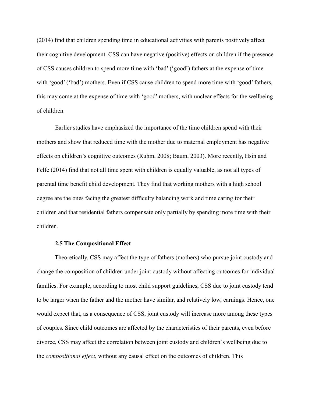(2014) find that children spending time in educational activities with parents positively affect their cognitive development. CSS can have negative (positive) effects on children if the presence of CSS causes children to spend more time with 'bad' ('good') fathers at the expense of time with 'good' ('bad') mothers. Even if CSS cause children to spend more time with 'good' fathers, this may come at the expense of time with 'good' mothers, with unclear effects for the wellbeing of children.

Earlier studies have emphasized the importance of the time children spend with their mothers and show that reduced time with the mother due to maternal employment has negative effects on children's cognitive outcomes (Ruhm, 2008; Baum, 2003). More recently, Hsin and Felfe (2014) find that not all time spent with children is equally valuable, as not all types of parental time benefit child development. They find that working mothers with a high school degree are the ones facing the greatest difficulty balancing work and time caring for their children and that residential fathers compensate only partially by spending more time with their children.

#### **2.5 The Compositional Effect**

Theoretically, CSS may affect the type of fathers (mothers) who pursue joint custody and change the composition of children under joint custody without affecting outcomes for individual families. For example, according to most child support guidelines, CSS due to joint custody tend to be larger when the father and the mother have similar, and relatively low, earnings. Hence, one would expect that, as a consequence of CSS, joint custody will increase more among these types of couples. Since child outcomes are affected by the characteristics of their parents, even before divorce, CSS may affect the correlation between joint custody and children's wellbeing due to the *compositional effect*, without any causal effect on the outcomes of children. This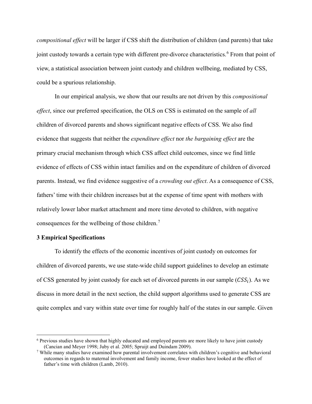*compositional effect* will be larger if CSS shift the distribution of children (and parents) that take joint custody towards a certain type with different pre-divorce characteristics.<sup>[6](#page-12-0)</sup> From that point of view, a statistical association between joint custody and children wellbeing, mediated by CSS, could be a spurious relationship.

In our empirical analysis, we show that our results are not driven by this *compositional effect*, since our preferred specification, the OLS on CSS is estimated on the sample of *all* children of divorced parents and shows significant negative effects of CSS. We also find evidence that suggests that neither the *expenditure effect* nor *the bargaining effect* are the primary crucial mechanism through which CSS affect child outcomes, since we find little evidence of effects of CSS within intact families and on the expenditure of children of divorced parents. Instead, we find evidence suggestive of a *crowding out effect*. As a consequence of CSS, fathers' time with their children increases but at the expense of time spent with mothers with relatively lower labor market attachment and more time devoted to children, with negative consequences for the wellbeing of those children.<sup>[7](#page-12-1)</sup>

## **3 Empirical Specifications**

To identify the effects of the economic incentives of joint custody on outcomes for children of divorced parents, we use state-wide child support guidelines to develop an estimate of CSS generated by joint custody for each set of divorced parents in our sample  $(CSS<sub>i</sub>)$ . As we discuss in more detail in the next section, the child support algorithms used to generate CSS are quite complex and vary within state over time for roughly half of the states in our sample. Given

<span id="page-12-0"></span><sup>&</sup>lt;sup>6</sup> Previous studies have shown that highly educated and employed parents are more likely to have joint custody (Cancian and Meyer 1998; Juby et al. 2005; Spruijt and Duindam 2009).

<span id="page-12-1"></span> $\frac{7}{1}$  While many studies have examined how parental involvement correlates with children's cognitive and behavioral outcomes in regards to maternal involvement and family income, fewer studies have looked at the effect of father's time with children (Lamb, 2010).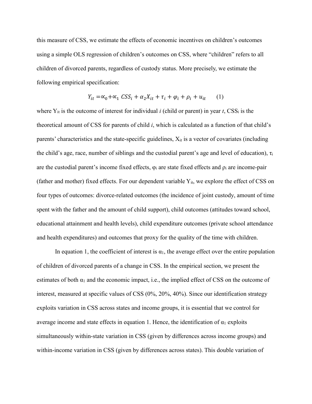this measure of CSS, we estimate the effects of economic incentives on children's outcomes using a simple OLS regression of children's outcomes on CSS, where "children" refers to all children of divorced parents, regardless of custody status. More precisely, we estimate the following empirical specification:

$$
Y_{it} = \alpha_0 + \alpha_1 \; \mathcal{C} S S_i + \alpha_2 X_{it} + \tau_i + \varphi_i + \rho_i + u_{it} \tag{1}
$$

where  $Y_{it}$  is the outcome of interest for individual *i* (child or parent) in year *t*,  $CSS_i$  is the theoretical amount of CSS for parents of child *i*, which is calculated as a function of that child's parents' characteristics and the state-specific guidelines,  $X_{it}$  is a vector of covariates (including the child's age, race, number of siblings and the custodial parent's age and level of education),  $\tau_i$ are the custodial parent's income fixed effects,  $\varphi_i$  are state fixed effects and  $\rho_i$  are income-pair (father and mother) fixed effects. For our dependent variable  $Y_{it}$ , we explore the effect of CSS on four types of outcomes: divorce-related outcomes (the incidence of joint custody, amount of time spent with the father and the amount of child support), child outcomes (attitudes toward school, educational attainment and health levels), child expenditure outcomes (private school attendance and health expenditures) and outcomes that proxy for the quality of the time with children.

In equation 1, the coefficient of interest is  $\alpha_1$ , the average effect over the entire population of children of divorced parents of a change in CSS. In the empirical section, we present the estimates of both  $\alpha_1$  and the economic impact, i.e., the implied effect of CSS on the outcome of interest, measured at specific values of CSS (0%, 20%, 40%). Since our identification strategy exploits variation in CSS across states and income groups, it is essential that we control for average income and state effects in equation 1. Hence, the identification of  $\alpha_1$  exploits simultaneously within-state variation in CSS (given by differences across income groups) and within-income variation in CSS (given by differences across states). This double variation of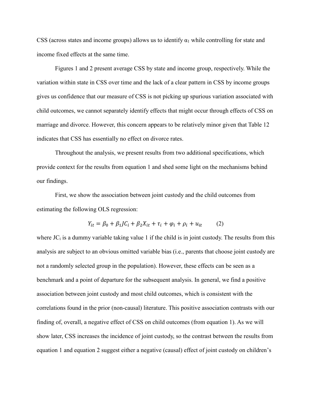CSS (across states and income groups) allows us to identify  $\alpha_1$  while controlling for state and income fixed effects at the same time.

Figures 1 and 2 present average CSS by state and income group, respectively. While the variation within state in CSS over time and the lack of a clear pattern in CSS by income groups gives us confidence that our measure of CSS is not picking up spurious variation associated with child outcomes, we cannot separately identify effects that might occur through effects of CSS on marriage and divorce. However, this concern appears to be relatively minor given that Table 12 indicates that CSS has essentially no effect on divorce rates.

Throughout the analysis, we present results from two additional specifications, which provide context for the results from equation 1 and shed some light on the mechanisms behind our findings.

First, we show the association between joint custody and the child outcomes from estimating the following OLS regression:

$$
Y_{it} = \beta_0 + \beta_1 J C_i + \beta_2 X_{it} + \tau_i + \varphi_i + \rho_i + u_{it}
$$
 (2)

where  $JC<sub>i</sub>$  is a dummy variable taking value 1 if the child is in joint custody. The results from this analysis are subject to an obvious omitted variable bias (i.e., parents that choose joint custody are not a randomly selected group in the population). However, these effects can be seen as a benchmark and a point of departure for the subsequent analysis. In general, we find a positive association between joint custody and most child outcomes, which is consistent with the correlations found in the prior (non-causal) literature. This positive association contrasts with our finding of, overall, a negative effect of CSS on child outcomes (from equation 1). As we will show later, CSS increases the incidence of joint custody, so the contrast between the results from equation 1 and equation 2 suggest either a negative (causal) effect of joint custody on children's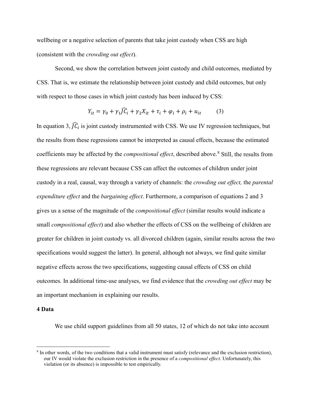wellbeing or a negative selection of parents that take joint custody when CSS are high (consistent with the *crowding out effect*).

Second, we show the correlation between joint custody and child outcomes, mediated by CSS. That is, we estimate the relationship between joint custody and child outcomes, but only with respect to those cases in which joint custody has been induced by CSS:

$$
Y_{it} = \gamma_0 + \gamma_1 \overline{J} \overline{C}_i + \gamma_2 X_{it} + \tau_i + \varphi_i + \rho_i + u_{it} \tag{3}
$$

In equation 3,  $\bar{J}\bar{C}_i$  is joint custody instrumented with CSS. We use IV regression techniques, but the results from these regressions cannot be interpreted as causal effects, because the estimated coefficients may be affected by the *compositional effect*, described above.<sup>[8](#page-15-0)</sup> Still, the results from these regressions are relevant because CSS can affect the outcomes of children under joint custody in a real, causal, way through a variety of channels: the *crowding out effect,* the *parental expenditure effect* and the *bargaining effect*. Furthermore, a comparison of equations 2 and 3 gives us a sense of the magnitude of the *compositional effect* (similar results would indicate a small *compositional effect*) and also whether the effects of CSS on the wellbeing of children are greater for children in joint custody vs. all divorced children (again, similar results across the two specifications would suggest the latter). In general, although not always, we find quite similar negative effects across the two specifications, suggesting causal effects of CSS on child outcomes. In additional time-use analyses, we find evidence that the *crowding out effect* may be an important mechanism in explaining our results.

## **4 Data**

We use child support guidelines from all 50 states, 12 of which do not take into account

<span id="page-15-0"></span> <sup>8</sup> In other words, of the two conditions that a valid instrument must satisfy (relevance and the exclusion restriction), our IV would violate the exclusion restriction in the presence of a *compositional effect*. Unfortunately, this violation (or its absence) is impossible to test empirically.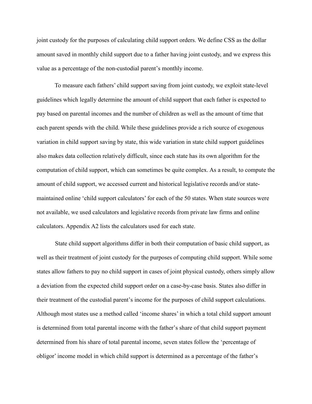joint custody for the purposes of calculating child support orders. We define CSS as the dollar amount saved in monthly child support due to a father having joint custody, and we express this value as a percentage of the non-custodial parent's monthly income.

To measure each fathers' child support saving from joint custody, we exploit state-level guidelines which legally determine the amount of child support that each father is expected to pay based on parental incomes and the number of children as well as the amount of time that each parent spends with the child. While these guidelines provide a rich source of exogenous variation in child support saving by state, this wide variation in state child support guidelines also makes data collection relatively difficult, since each state has its own algorithm for the computation of child support, which can sometimes be quite complex. As a result, to compute the amount of child support, we accessed current and historical legislative records and/or statemaintained online 'child support calculators' for each of the 50 states. When state sources were not available, we used calculators and legislative records from private law firms and online calculators. Appendix A2 lists the calculators used for each state.

State child support algorithms differ in both their computation of basic child support, as well as their treatment of joint custody for the purposes of computing child support. While some states allow fathers to pay no child support in cases of joint physical custody, others simply allow a deviation from the expected child support order on a case-by-case basis. States also differ in their treatment of the custodial parent's income for the purposes of child support calculations. Although most states use a method called 'income shares' in which a total child support amount is determined from total parental income with the father's share of that child support payment determined from his share of total parental income, seven states follow the 'percentage of obligor' income model in which child support is determined as a percentage of the father's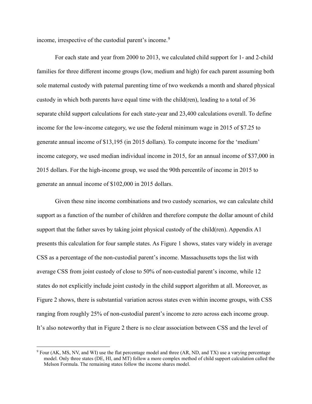income, irrespective of the custodial parent's income.<sup>[9](#page-17-0)</sup>

For each state and year from 2000 to 2013, we calculated child support for 1- and 2-child families for three different income groups (low, medium and high) for each parent assuming both sole maternal custody with paternal parenting time of two weekends a month and shared physical custody in which both parents have equal time with the child(ren), leading to a total of 36 separate child support calculations for each state-year and 23,400 calculations overall. To define income for the low-income category, we use the federal minimum wage in 2015 of \$7.25 to generate annual income of \$13,195 (in 2015 dollars). To compute income for the 'medium' income category, we used median individual income in 2015, for an annual income of \$37,000 in 2015 dollars. For the high-income group, we used the 90th percentile of income in 2015 to generate an annual income of \$102,000 in 2015 dollars.

Given these nine income combinations and two custody scenarios, we can calculate child support as a function of the number of children and therefore compute the dollar amount of child support that the father saves by taking joint physical custody of the child(ren). Appendix A1 presents this calculation for four sample states. As [Figure 1](#page-40-0) shows, states vary widely in average CSS as a percentage of the non-custodial parent's income. Massachusetts tops the list with average CSS from joint custody of close to 50% of non-custodial parent's income, while 12 states do not explicitly include joint custody in the child support algorithm at all. Moreover, as [Figure 2](#page-41-0) shows, there is substantial variation across states even within income groups, with CSS ranging from roughly 25% of non-custodial parent's income to zero across each income group. It's also noteworthy that in [Figure 2](#page-41-0) there is no clear association between CSS and the level of

<span id="page-17-0"></span> <sup>9</sup> Four (AK, MS, NV, and WI) use the flat percentage model and three (AR, ND, and TX) use a varying percentage model. Only three states (DE, HI, and MT) follow a more complex method of child support calculation called the Melson Formula. The remaining states follow the income shares model.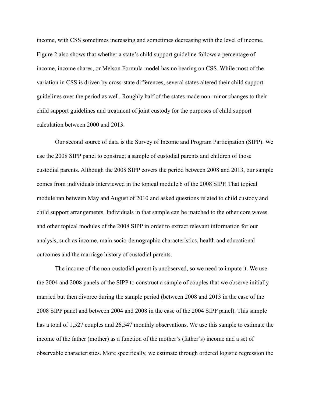income, with CSS sometimes increasing and sometimes decreasing with the level of income. Figure 2 also shows that whether a state's child support guideline follows a percentage of income, income shares, or Melson Formula model has no bearing on CSS. While most of the variation in CSS is driven by cross-state differences, several states altered their child support guidelines over the period as well. Roughly half of the states made non-minor changes to their child support guidelines and treatment of joint custody for the purposes of child support calculation between 2000 and 2013.

Our second source of data is the Survey of Income and Program Participation (SIPP). We use the 2008 SIPP panel to construct a sample of custodial parents and children of those custodial parents. Although the 2008 SIPP covers the period between 2008 and 2013, our sample comes from individuals interviewed in the topical module 6 of the 2008 SIPP. That topical module ran between May and August of 2010 and asked questions related to child custody and child support arrangements. Individuals in that sample can be matched to the other core waves and other topical modules of the 2008 SIPP in order to extract relevant information for our analysis, such as income, main socio-demographic characteristics, health and educational outcomes and the marriage history of custodial parents.

The income of the non-custodial parent is unobserved, so we need to impute it. We use the 2004 and 2008 panels of the SIPP to construct a sample of couples that we observe initially married but then divorce during the sample period (between 2008 and 2013 in the case of the 2008 SIPP panel and between 2004 and 2008 in the case of the 2004 SIPP panel). This sample has a total of 1,527 couples and 26,547 monthly observations. We use this sample to estimate the income of the father (mother) as a function of the mother's (father's) income and a set of observable characteristics. More specifically, we estimate through ordered logistic regression the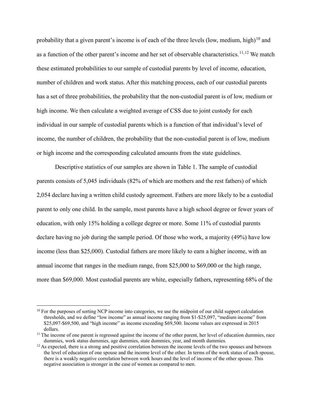probability that a given parent's income is of each of the three levels (low, medium, high)<sup>[10](#page-19-0)</sup> and as a function of the other parent's income and her set of observable characteristics.<sup>[11,](#page-19-1)[12](#page-19-2)</sup> We match these estimated probabilities to our sample of custodial parents by level of income, education, number of children and work status. After this matching process, each of our custodial parents has a set of three probabilities, the probability that the non-custodial parent is of low, medium or high income. We then calculate a weighted average of CSS due to joint custody for each individual in our sample of custodial parents which is a function of that individual's level of income, the number of children, the probability that the non-custodial parent is of low, medium or high income and the corresponding calculated amounts from the state guidelines.

Descriptive statistics of our samples are shown in Table 1. The sample of custodial parents consists of 5,045 individuals (82% of which are mothers and the rest fathers) of which 2,054 declare having a written child custody agreement. Fathers are more likely to be a custodial parent to only one child. In the sample, most parents have a high school degree or fewer years of education, with only 15% holding a college degree or more. Some 11% of custodial parents declare having no job during the sample period. Of those who work, a majority (49%) have low income (less than \$25,000). Custodial fathers are more likely to earn a higher income, with an annual income that ranges in the medium range, from \$25,000 to \$69,000 or the high range, more than \$69,000. Most custodial parents are white, especially fathers, representing 68% of the

<span id="page-19-0"></span><sup>&</sup>lt;sup>10</sup> For the purposes of sorting NCP income into categories, we use the midpoint of our child support calculation thresholds, and we define "low income" as annual income ranging from \$1-\$25,097, "medium income" from \$25,097-\$69,500, and "high income" as income exceeding \$69,500. Income values are expressed in 2015 dollars.

<span id="page-19-1"></span><sup>&</sup>lt;sup>11</sup> The income of one parent is regressed against the income of the other parent, her level of education dummies, race dummies, work status dummies, age dummies, state dummies, vear, and month dummies.

<span id="page-19-2"></span> $12$  As expected, there is a strong and positive correlation between the income levels of the two spouses and between the level of education of one spouse and the income level of the other. In terms of the work status of each spouse, there is a weakly negative correlation between work hours and the level of income of the other spouse. This negative association is stronger in the case of women as compared to men.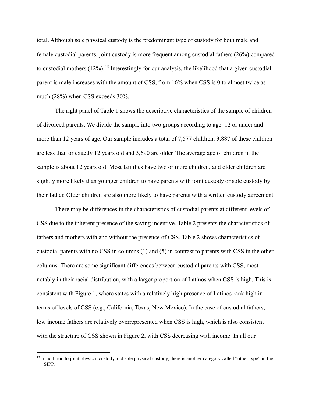total. Although sole physical custody is the predominant type of custody for both male and female custodial parents, joint custody is more frequent among custodial fathers (26%) compared to custodial mothers  $(12\%)$ .<sup>[13](#page-20-0)</sup> Interestingly for our analysis, the likelihood that a given custodial parent is male increases with the amount of CSS, from 16% when CSS is 0 to almost twice as much (28%) when CSS exceeds 30%.

The right panel of [Table 1](#page-42-0) shows the descriptive characteristics of the sample of children of divorced parents. We divide the sample into two groups according to age: 12 or under and more than 12 years of age. Our sample includes a total of 7,577 children, 3,887 of these children are less than or exactly 12 years old and 3,690 are older. The average age of children in the sample is about 12 years old. Most families have two or more children, and older children are slightly more likely than younger children to have parents with joint custody or sole custody by their father. Older children are also more likely to have parents with a written custody agreement.

There may be differences in the characteristics of custodial parents at different levels of CSS due to the inherent presence of the saving incentive. [Table 2](#page-43-0) presents the characteristics of fathers and mothers with and without the presence of CSS. [Table 2](#page-43-0) shows characteristics of custodial parents with no CSS in columns (1) and (5) in contrast to parents with CSS in the other columns. There are some significant differences between custodial parents with CSS, most notably in their racial distribution, with a larger proportion of Latinos when CSS is high. This is consistent with [Figure 1,](#page-40-0) where states with a relatively high presence of Latinos rank high in terms of levels of CSS (e.g., California, Texas, New Mexico). In the case of custodial fathers, low income fathers are relatively overrepresented when CSS is high, which is also consistent with the structure of CSS shown in [Figure 2,](#page-41-0) with CSS decreasing with income. In all our

<span id="page-20-0"></span> $<sup>13</sup>$  In addition to joint physical custody and sole physical custody, there is another category called "other type" in the</sup> SIPP.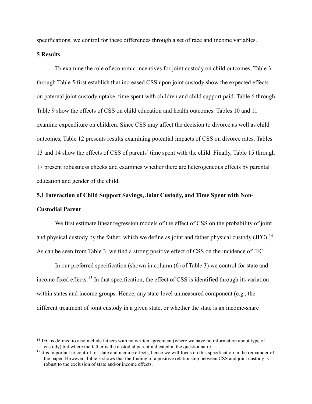specifications, we control for these differences through a set of race and income variables.

### **5 Results**

To examine the role of economic incentives for joint custody on child outcomes, [Table 3](#page-44-0) through Table 5 first establish that increased CSS upon joint custody show the expected effects on paternal joint custody uptake, time spent with children and child support paid. [Table 6](#page-47-0) through Table 9 show the effects of CSS on child education and health outcomes. Tables 10 and 11 examine expenditure on children. Since CSS may affect the decision to divorce as well as child outcomes, Table 12 presents results examining potential impacts of CSS on divorce rates. Tables 13 and 14 show the effects of CSS of parents' time spent with the child. Finally, Table 15 through 17 present robustness checks and examines whether there are heterogeneous effects by parental education and gender of the child.

# **5.1 Interaction of Child Support Savings, Joint Custody, and Time Spent with Non-Custodial Parent**

We first estimate linear regression models of the effect of CSS on the probability of joint and physical custody by the father, which we define as joint and father physical custody  $(JFC)$ .<sup>[14](#page-21-0)</sup> As can be seen from [Table 3,](#page-44-0) we find a strong positive effect of CSS on the incidence of JFC.

In our preferred specification (shown in column (6) of [Table 3\)](#page-44-0) we control for state and income fixed effects.<sup>[15](#page-21-1)</sup> In that specification, the effect of CSS is identified through its variation within states and income groups. Hence, any state-level unmeasured component (e.g., the different treatment of joint custody in a given state, or whether the state is an income-share

<span id="page-21-0"></span><sup>&</sup>lt;sup>14</sup> JFC is defined to also include fathers with no written agreement (where we have no information about type of custody) but where the father is the custodial parent indicated in the questionnaire.

<span id="page-21-1"></span><sup>&</sup>lt;sup>15</sup> It is important to control for state and income effects, hence we will focus on this specification in the remainder of the paper. However[, Table 3](#page-44-0) shows that the finding of a positive relationship between CSS and joint custody is robust to the exclusion of state and/or income effects.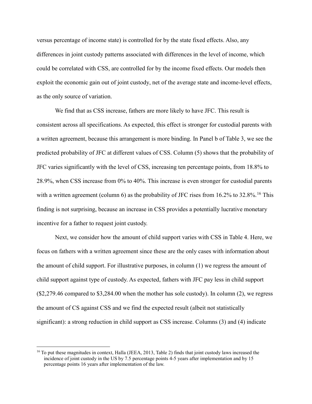versus percentage of income state) is controlled for by the state fixed effects. Also, any differences in joint custody patterns associated with differences in the level of income, which could be correlated with CSS, are controlled for by the income fixed effects. Our models then exploit the economic gain out of joint custody, net of the average state and income-level effects, as the only source of variation.

We find that as CSS increase, fathers are more likely to have JFC. This result is consistent across all specifications. As expected, this effect is stronger for custodial parents with a written agreement, because this arrangement is more binding. In Panel b of [Table 3,](#page-44-0) we see the predicted probability of JFC at different values of CSS. Column (5) shows that the probability of JFC varies significantly with the level of CSS, increasing ten percentage points, from 18.8% to 28.9%, when CSS increase from 0% to 40%. This increase is even stronger for custodial parents with a written agreement (column 6) as the probability of JFC rises from  $16.2\%$  $16.2\%$  to  $32.8\%$ .<sup>16</sup> This finding is not surprising, because an increase in CSS provides a potentially lucrative monetary incentive for a father to request joint custody.

Next, we consider how the amount of child support varies with CSS i[n Table 4.](#page-45-0) Here, we focus on fathers with a written agreement since these are the only cases with information about the amount of child support. For illustrative purposes, in column (1) we regress the amount of child support against type of custody. As expected, fathers with JFC pay less in child support (\$2,279.46 compared to \$3,284.00 when the mother has sole custody). In column (2), we regress the amount of CS against CSS and we find the expected result (albeit not statistically significant): a strong reduction in child support as CSS increase. Columns (3) and (4) indicate

<span id="page-22-0"></span><sup>&</sup>lt;sup>16</sup> To put these magnitudes in context, Halla (JEEA, 2013, Table 2) finds that joint custody laws increased the incidence of joint custody in the US by 7.5 percentage points 4-5 years after implementation and by 15 percentage points 16 years after implementation of the law.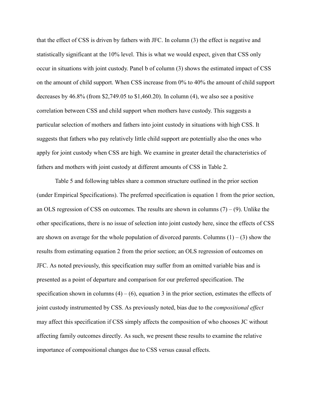that the effect of CSS is driven by fathers with JFC. In column (3) the effect is negative and statistically significant at the 10% level. This is what we would expect, given that CSS only occur in situations with joint custody. Panel b of column (3) shows the estimated impact of CSS on the amount of child support. When CSS increase from 0% to 40% the amount of child support decreases by 46.8% (from \$2,749.05 to \$1,460.20). In column (4), we also see a positive correlation between CSS and child support when mothers have custody. This suggests a particular selection of mothers and fathers into joint custody in situations with high CSS. It suggests that fathers who pay relatively little child support are potentially also the ones who apply for joint custody when CSS are high. We examine in greater detail the characteristics of fathers and mothers with joint custody at different amounts of CSS in Table 2.

[Table 5](#page-46-0) and following tables share a common structure outlined in the prior section (under Empirical Specifications). The preferred specification is equation 1 from the prior section, an OLS regression of CSS on outcomes. The results are shown in columns  $(7) - (9)$ . Unlike the other specifications, there is no issue of selection into joint custody here, since the effects of CSS are shown on average for the whole population of divorced parents. Columns  $(1) - (3)$  show the results from estimating equation 2 from the prior section; an OLS regression of outcomes on JFC. As noted previously, this specification may suffer from an omitted variable bias and is presented as a point of departure and comparison for our preferred specification. The specification shown in columns  $(4) - (6)$ , equation 3 in the prior section, estimates the effects of joint custody instrumented by CSS. As previously noted, bias due to the *compositional effect* may affect this specification if CSS simply affects the composition of who chooses JC without affecting family outcomes directly. As such, we present these results to examine the relative importance of compositional changes due to CSS versus causal effects.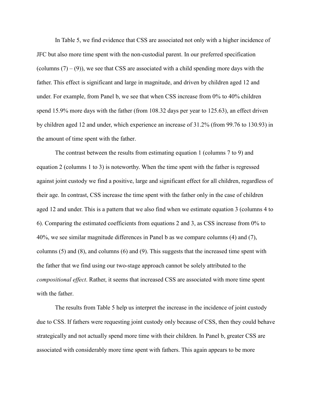In [Table 5,](#page-46-0) we find evidence that CSS are associated not only with a higher incidence of JFC but also more time spent with the non-custodial parent. In our preferred specification (columns  $(7)$  – (9)), we see that CSS are associated with a child spending more days with the father. This effect is significant and large in magnitude, and driven by children aged 12 and under. For example, from Panel b, we see that when CSS increase from 0% to 40% children spend 15.9% more days with the father (from 108.32 days per year to 125.63), an effect driven by children aged 12 and under, which experience an increase of 31.2% (from 99.76 to 130.93) in the amount of time spent with the father.

The contrast between the results from estimating equation 1 (columns 7 to 9) and equation 2 (columns 1 to 3) is noteworthy. When the time spent with the father is regressed against joint custody we find a positive, large and significant effect for all children, regardless of their age. In contrast, CSS increase the time spent with the father only in the case of children aged 12 and under. This is a pattern that we also find when we estimate equation 3 (columns 4 to 6). Comparing the estimated coefficients from equations 2 and 3, as CSS increase from 0% to 40%, we see similar magnitude differences in Panel b as we compare columns (4) and (7), columns (5) and (8), and columns (6) and (9). This suggests that the increased time spent with the father that we find using our two-stage approach cannot be solely attributed to the *compositional effect*. Rather, it seems that increased CSS are associated with more time spent with the father.

The results from [Table 5](#page-46-0) help us interpret the increase in the incidence of joint custody due to CSS. If fathers were requesting joint custody only because of CSS, then they could behave strategically and not actually spend more time with their children. In Panel b, greater CSS are associated with considerably more time spent with fathers. This again appears to be more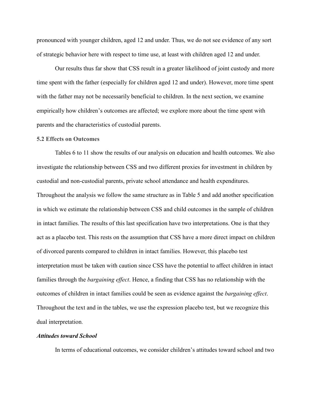pronounced with younger children, aged 12 and under. Thus, we do not see evidence of any sort of strategic behavior here with respect to time use, at least with children aged 12 and under.

Our results thus far show that CSS result in a greater likelihood of joint custody and more time spent with the father (especially for children aged 12 and under). However, more time spent with the father may not be necessarily beneficial to children. In the next section, we examine empirically how children's outcomes are affected; we explore more about the time spent with parents and the characteristics of custodial parents.

#### **5.2 Effects on Outcomes**

Tables 6 to 11 show the results of our analysis on education and health outcomes. We also investigate the relationship between CSS and two different proxies for investment in children by custodial and non-custodial parents, private school attendance and health expenditures. Throughout the analysis we follow the same structure as in Table 5 and add another specification in which we estimate the relationship between CSS and child outcomes in the sample of children in intact families. The results of this last specification have two interpretations. One is that they act as a placebo test. This rests on the assumption that CSS have a more direct impact on children of divorced parents compared to children in intact families. However, this placebo test interpretation must be taken with caution since CSS have the potential to affect children in intact families through the *bargaining effect*. Hence, a finding that CSS has no relationship with the outcomes of children in intact families could be seen as evidence against the *bargaining effect*. Throughout the text and in the tables, we use the expression placebo test, but we recognize this dual interpretation.

#### *Attitudes toward School*

In terms of educational outcomes, we consider children's attitudes toward school and two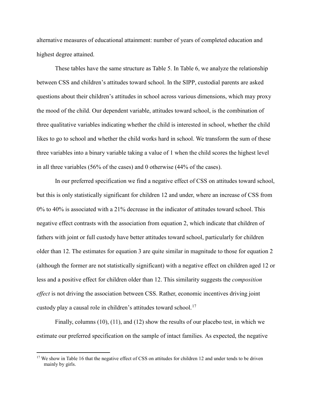alternative measures of educational attainment: number of years of completed education and highest degree attained.

These tables have the same structure as [Table 5.](#page-46-0) In [Table 6,](#page-47-0) we analyze the relationship between CSS and children's attitudes toward school. In the SIPP, custodial parents are asked questions about their children's attitudes in school across various dimensions, which may proxy the mood of the child. Our dependent variable, attitudes toward school, is the combination of three qualitative variables indicating whether the child is interested in school, whether the child likes to go to school and whether the child works hard in school. We transform the sum of these three variables into a binary variable taking a value of 1 when the child scores the highest level in all three variables (56% of the cases) and 0 otherwise (44% of the cases).

In our preferred specification we find a negative effect of CSS on attitudes toward school, but this is only statistically significant for children 12 and under, where an increase of CSS from 0% to 40% is associated with a 21% decrease in the indicator of attitudes toward school. This negative effect contrasts with the association from equation 2, which indicate that children of fathers with joint or full custody have better attitudes toward school, particularly for children older than 12. The estimates for equation 3 are quite similar in magnitude to those for equation 2 (although the former are not statistically significant) with a negative effect on children aged 12 or less and a positive effect for children older than 12. This similarity suggests the *composition effect* is not driving the association between CSS. Rather, economic incentives driving joint custody play a causal role in children's attitudes toward school.<sup>[17](#page-26-0)</sup>

Finally, columns (10), (11), and (12) show the results of our placebo test, in which we estimate our preferred specification on the sample of intact families. As expected, the negative

<span id="page-26-0"></span> $17$  We show in Table 16 that the negative effect of CSS on attitudes for children 12 and under tends to be driven mainly by girls.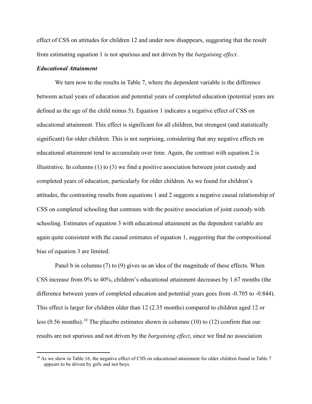effect of CSS on attitudes for children 12 and under now disappears, suggesting that the result from estimating equation 1 is not spurious and not driven by the *bargaining effect*.

## *Educational Attainment*

We turn now to the results in [Table 7,](#page-48-0) where the dependent variable is the difference between actual years of education and potential years of completed education (potential years are defined as the age of the child minus 5). Equation 1 indicates a negative effect of CSS on educational attainment. This effect is significant for all children, but strongest (and statistically significant) for older children. This is not surprising, considering that any negative effects on educational attainment tend to accumulate over time. Again, the contrast with equation 2 is illustrative. In columns (1) to (3) we find a positive association between joint custody and completed years of education, particularly for older children. As we found for children's attitudes, the contrasting results from equations 1 and 2 suggests a negative causal relationship of CSS on completed schooling that contrasts with the positive association of joint custody with schooling. Estimates of equation 3 with educational attainment as the dependent variable are again quite consistent with the causal estimates of equation 1, suggesting that the compositional bias of equation 3 are limited.

Panel b in columns (7) to (9) gives us an idea of the magnitude of these effects. When CSS increase from 0% to 40%, children's educational attainment decreases by 1.67 months (the difference between years of completed education and potential years goes from -0.705 to -0.844). This effect is larger for children older than 12 (2.35 months) compared to children aged 12 or less (0.56 months).<sup>[18](#page-27-0)</sup> The placebo estimates shown in columns (10) to (12) confirm that our results are not spurious and not driven by the *bargaining effect*, since we find no association

<span id="page-27-0"></span> $18$  As we show in Table 16, the negative effect of CSS on educational attainment for older children found in [Table 7](#page-48-0) appears to be driven by girls and not boys.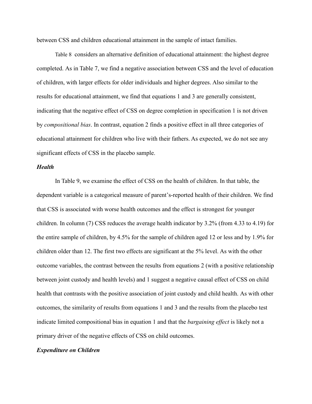between CSS and children educational attainment in the sample of intact families.

[Table](#page-49-0) 8 considers an alternative definition of educational attainment: the highest degree completed. As in [Table 7,](#page-48-0) we find a negative association between CSS and the level of education of children, with larger effects for older individuals and higher degrees. Also similar to the results for educational attainment, we find that equations 1 and 3 are generally consistent, indicating that the negative effect of CSS on degree completion in specification 1 is not driven by *compositional bias*. In contrast, equation 2 finds a positive effect in all three categories of educational attainment for children who live with their fathers. As expected, we do not see any significant effects of CSS in the placebo sample.

#### *Health*

In Table 9, we examine the effect of CSS on the health of children. In that table, the dependent variable is a categorical measure of parent's-reported health of their children. We find that CSS is associated with worse health outcomes and the effect is strongest for younger children. In column (7) CSS reduces the average health indicator by 3.2% (from 4.33 to 4.19) for the entire sample of children, by 4.5% for the sample of children aged 12 or less and by 1.9% for children older than 12. The first two effects are significant at the 5% level. As with the other outcome variables, the contrast between the results from equations 2 (with a positive relationship between joint custody and health levels) and 1 suggest a negative causal effect of CSS on child health that contrasts with the positive association of joint custody and child health. As with other outcomes, the similarity of results from equations 1 and 3 and the results from the placebo test indicate limited compositional bias in equation 1 and that the *bargaining effect* is likely not a primary driver of the negative effects of CSS on child outcomes.

#### *Expenditure on Children*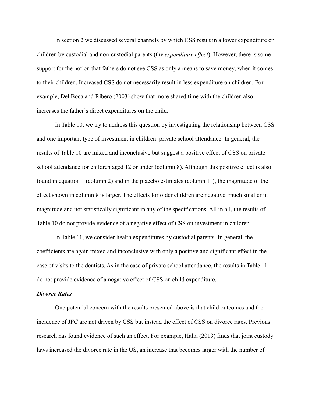In section 2 we discussed several channels by which CSS result in a lower expenditure on children by custodial and non-custodial parents (the *expenditure effect*). However, there is some support for the notion that fathers do not see CSS as only a means to save money, when it comes to their children. Increased CSS do not necessarily result in less expenditure on children. For example, Del Boca and Ribero (2003) show that more shared time with the children also increases the father's direct expenditures on the child.

In Table 10, we try to address this question by investigating the relationship between CSS and one important type of investment in children: private school attendance. In general, the results of Table 10 are mixed and inconclusive but suggest a positive effect of CSS on private school attendance for children aged 12 or under (column 8). Although this positive effect is also found in equation 1 (column 2) and in the placebo estimates (column 11), the magnitude of the effect shown in column 8 is larger. The effects for older children are negative, much smaller in magnitude and not statistically significant in any of the specifications. All in all, the results of [Table 10](#page-50-0) do not provide evidence of a negative effect of CSS on investment in children.

In Table 11, we consider health expenditures by custodial parents. In general, the coefficients are again mixed and inconclusive with only a positive and significant effect in the case of visits to the dentists. As in the case of private school attendance, the results in Table 11 do not provide evidence of a negative effect of CSS on child expenditure.

#### *Divorce Rates*

One potential concern with the results presented above is that child outcomes and the incidence of JFC are not driven by CSS but instead the effect of CSS on divorce rates. Previous research has found evidence of such an effect. For example, Halla (2013) finds that joint custody laws increased the divorce rate in the US, an increase that becomes larger with the number of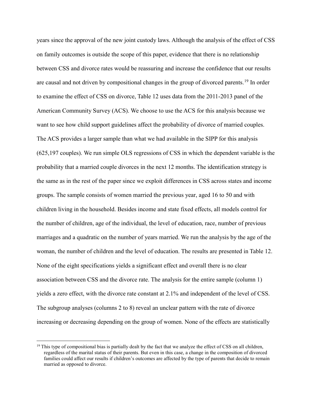years since the approval of the new joint custody laws. Although the analysis of the effect of CSS on family outcomes is outside the scope of this paper, evidence that there is no relationship between CSS and divorce rates would be reassuring and increase the confidence that our results are causal and not driven by compositional changes in the group of divorced parents.<sup>[19](#page-30-0)</sup> In order to examine the effect of CSS on divorce, Table 12 uses data from the 2011-2013 panel of the American Community Survey (ACS). We choose to use the ACS for this analysis because we want to see how child support guidelines affect the probability of divorce of married couples. The ACS provides a larger sample than what we had available in the SIPP for this analysis (625,197 couples). We run simple OLS regressions of CSS in which the dependent variable is the probability that a married couple divorces in the next 12 months. The identification strategy is the same as in the rest of the paper since we exploit differences in CSS across states and income groups. The sample consists of women married the previous year, aged 16 to 50 and with children living in the household. Besides income and state fixed effects, all models control for the number of children, age of the individual, the level of education, race, number of previous marriages and a quadratic on the number of years married. We run the analysis by the age of the woman, the number of children and the level of education. The results are presented in Table 12. None of the eight specifications yields a significant effect and overall there is no clear association between CSS and the divorce rate. The analysis for the entire sample (column 1) yields a zero effect, with the divorce rate constant at 2.1% and independent of the level of CSS. The subgroup analyses (columns 2 to 8) reveal an unclear pattern with the rate of divorce increasing or decreasing depending on the group of women. None of the effects are statistically

<span id="page-30-0"></span> $19$  This type of compositional bias is partially dealt by the fact that we analyze the effect of CSS on all children, regardless of the marital status of their parents. But even in this case, a change in the composition of divorced families could affect our results if children's outcomes are affected by the type of parents that decide to remain married as opposed to divorce.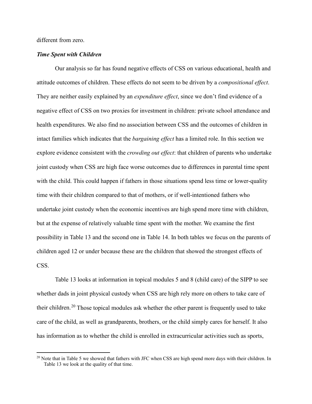different from zero.

#### *Time Spent with Children*

Our analysis so far has found negative effects of CSS on various educational, health and attitude outcomes of children. These effects do not seem to be driven by a *compositional effect*. They are neither easily explained by an *expenditure effect*, since we don't find evidence of a negative effect of CSS on two proxies for investment in children: private school attendance and health expenditures. We also find no association between CSS and the outcomes of children in intact families which indicates that the *bargaining effect* has a limited role. In this section we explore evidence consistent with the *crowding out effect*: that children of parents who undertake joint custody when CSS are high face worse outcomes due to differences in parental time spent with the child. This could happen if fathers in those situations spend less time or lower-quality time with their children compared to that of mothers, or if well-intentioned fathers who undertake joint custody when the economic incentives are high spend more time with children, but at the expense of relatively valuable time spent with the mother. We examine the first possibility in Table 13 and the second one in Table 14. In both tables we focus on the parents of children aged 12 or under because these are the children that showed the strongest effects of CSS.

Table 13 looks at information in topical modules 5 and 8 (child care) of the SIPP to see whether dads in joint physical custody when CSS are high rely more on others to take care of their children.<sup>[20](#page-31-0)</sup> Those topical modules ask whether the other parent is frequently used to take care of the child, as well as grandparents, brothers, or the child simply cares for herself. It also has information as to whether the child is enrolled in extracurricular activities such as sports,

<span id="page-31-0"></span> $^{20}$  Note that i[n Table 5](#page-46-0) we showed that fathers with JFC when CSS are high spend more days with their children. In Table 13 we look at the quality of that time.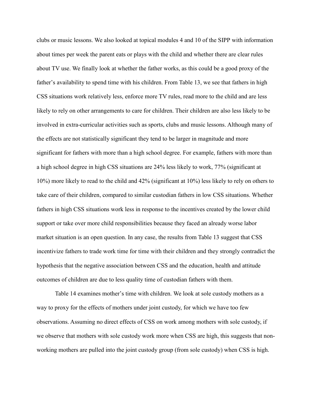clubs or music lessons. We also looked at topical modules 4 and 10 of the SIPP with information about times per week the parent eats or plays with the child and whether there are clear rules about TV use. We finally look at whether the father works, as this could be a good proxy of the father's availability to spend time with his children. From Table 13, we see that fathers in high CSS situations work relatively less, enforce more TV rules, read more to the child and are less likely to rely on other arrangements to care for children. Their children are also less likely to be involved in extra-curricular activities such as sports, clubs and music lessons. Although many of the effects are not statistically significant they tend to be larger in magnitude and more significant for fathers with more than a high school degree. For example, fathers with more than a high school degree in high CSS situations are 24% less likely to work, 77% (significant at 10%) more likely to read to the child and 42% (significant at 10%) less likely to rely on others to take care of their children, compared to similar custodian fathers in low CSS situations. Whether fathers in high CSS situations work less in response to the incentives created by the lower child support or take over more child responsibilities because they faced an already worse labor market situation is an open question. In any case, the results from Table 13 suggest that CSS incentivize fathers to trade work time for time with their children and they strongly contradict the hypothesis that the negative association between CSS and the education, health and attitude outcomes of children are due to less quality time of custodian fathers with them.

Table 14 examines mother's time with children. We look at sole custody mothers as a way to proxy for the effects of mothers under joint custody, for which we have too few observations. Assuming no direct effects of CSS on work among mothers with sole custody, if we observe that mothers with sole custody work more when CSS are high, this suggests that nonworking mothers are pulled into the joint custody group (from sole custody) when CSS is high.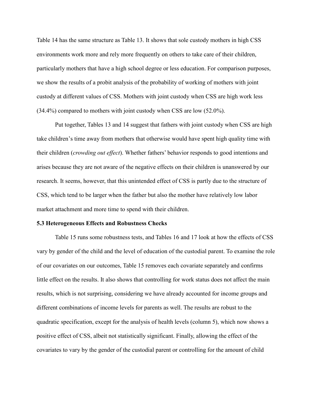Table 14 has the same structure as Table 13. It shows that sole custody mothers in high CSS environments work more and rely more frequently on others to take care of their children, particularly mothers that have a high school degree or less education. For comparison purposes, we show the results of a probit analysis of the probability of working of mothers with joint custody at different values of CSS. Mothers with joint custody when CSS are high work less (34.4%) compared to mothers with joint custody when CSS are low (52.0%).

Put together, [Tables](#page-54-0) 13 and [14](#page-55-0) suggest that fathers with joint custody when CSS are high take children's time away from mothers that otherwise would have spent high quality time with their children (*crowding out effect*). Whether fathers' behavior responds to good intentions and arises because they are not aware of the negative effects on their children is unanswered by our research. It seems, however, that this unintended effect of CSS is partly due to the structure of CSS, which tend to be larger when the father but also the mother have relatively low labor market attachment and more time to spend with their children.

#### **5.3 Heterogeneous Effects and Robustness Checks**

[Table 15](#page-56-0) runs some robustness tests, and [Tables](#page-57-0) 16 and 17 look at how the effects of CSS vary by gender of the child and the level of education of the custodial parent. To examine the role of our covariates on our outcomes, [Table 15](#page-56-0) removes each covariate separately and confirms little effect on the results. It also shows that controlling for work status does not affect the main results, which is not surprising, considering we have already accounted for income groups and different combinations of income levels for parents as well. The results are robust to the quadratic specification, except for the analysis of health levels (column 5), which now shows a positive effect of CSS, albeit not statistically significant. Finally, allowing the effect of the covariates to vary by the gender of the custodial parent or controlling for the amount of child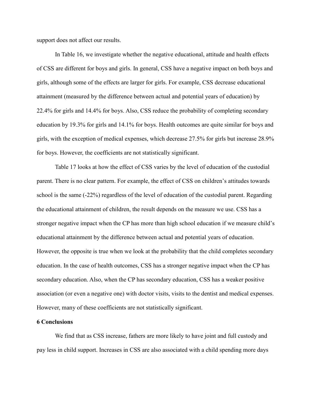support does not affect our results.

In Table 16, we investigate whether the negative educational, attitude and health effects of CSS are different for boys and girls. In general, CSS have a negative impact on both boys and girls, although some of the effects are larger for girls. For example, CSS decrease educational attainment (measured by the difference between actual and potential years of education) by 22.4% for girls and 14.4% for boys. Also, CSS reduce the probability of completing secondary education by 19.3% for girls and 14.1% for boys. Health outcomes are quite similar for boys and girls, with the exception of medical expenses, which decrease 27.5% for girls but increase 28.9% for boys. However, the coefficients are not statistically significant.

Table 17 looks at how the effect of CSS varies by the level of education of the custodial parent. There is no clear pattern. For example, the effect of CSS on children's attitudes towards school is the same (-22%) regardless of the level of education of the custodial parent. Regarding the educational attainment of children, the result depends on the measure we use. CSS has a stronger negative impact when the CP has more than high school education if we measure child's educational attainment by the difference between actual and potential years of education. However, the opposite is true when we look at the probability that the child completes secondary education. In the case of health outcomes, CSS has a stronger negative impact when the CP has secondary education. Also, when the CP has secondary education, CSS has a weaker positive association (or even a negative one) with doctor visits, visits to the dentist and medical expenses. However, many of these coefficients are not statistically significant.

#### **6 Conclusions**

We find that as CSS increase, fathers are more likely to have joint and full custody and pay less in child support. Increases in CSS are also associated with a child spending more days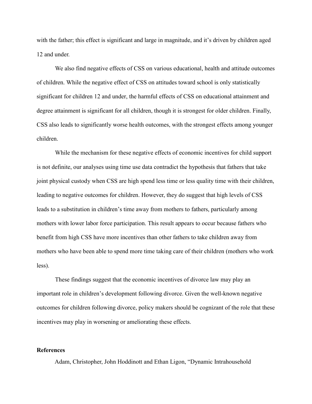with the father; this effect is significant and large in magnitude, and it's driven by children aged 12 and under.

We also find negative effects of CSS on various educational, health and attitude outcomes of children. While the negative effect of CSS on attitudes toward school is only statistically significant for children 12 and under, the harmful effects of CSS on educational attainment and degree attainment is significant for all children, though it is strongest for older children. Finally, CSS also leads to significantly worse health outcomes, with the strongest effects among younger children.

While the mechanism for these negative effects of economic incentives for child support is not definite, our analyses using time use data contradict the hypothesis that fathers that take joint physical custody when CSS are high spend less time or less quality time with their children, leading to negative outcomes for children. However, they do suggest that high levels of CSS leads to a substitution in children's time away from mothers to fathers, particularly among mothers with lower labor force participation. This result appears to occur because fathers who benefit from high CSS have more incentives than other fathers to take children away from mothers who have been able to spend more time taking care of their children (mothers who work less).

These findings suggest that the economic incentives of divorce law may play an important role in children's development following divorce. Given the well-known negative outcomes for children following divorce, policy makers should be cognizant of the role that these incentives may play in worsening or ameliorating these effects.

#### **References**

Adam, Christopher, John Hoddinott and Ethan Ligon, "Dynamic Intrahousehold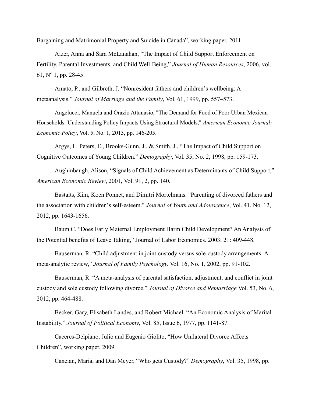Bargaining and Matrimonial Property and Suicide in Canada", working paper, 2011.

Aizer, Anna and Sara McLanahan, "The Impact of Child Support Enforcement on Fertility, Parental Investments, and Child Well-Being," *Journal of Human Resources*, 2006, vol. 61, Nº 1, pp. 28-45.

Amato, P., and Gilbreth, J. "Nonresident fathers and children's wellbeing: A metaanalysis." *Journal of Marriage and the Family*, Vol. 61, 1999, pp. 557–573.

Angelucci, Manuela and Orazio Attanasio, "The Demand for Food of Poor Urban Mexican Households: Understanding Policy Impacts Using Structural Models," *American Economic Journal: Economic Policy*, Vol. 5, No. 1, 2013, pp. 146-205.

Argys, L. Peters, E., Brooks-Gunn, J., & Smith, J., "The Impact of Child Support on Cognitive Outcomes of Young Children." *Demography*, Vol. 35, No. 2, 1998, pp. 159-173.

Aughinbaugh, Alison, "Signals of Child Achievement as Determinants of Child Support," *American Economic Review*, 2001, Vol. 91, 2, pp. 140.

Bastaits, Kim, Koen Ponnet, and Dimitri Mortelmans. "Parenting of divorced fathers and the association with children's self-esteem." *Journal of Youth and Adolescence*, Vol. 41, No. 12, 2012, pp. 1643-1656.

Baum C. "Does Early Maternal Employment Harm Child Development? An Analysis of the Potential benefits of Leave Taking," Journal of Labor Economics. 2003; 21: 409-448.

Bauserman, R. "Child adjustment in joint-custody versus sole-custody arrangements: A meta-analytic review," *Journal of Family Psychology,* Vol. 16, No. 1, 2002, pp. 91-102.

Bauserman, R. "A meta-analysis of parental satisfaction, adjustment, and conflict in joint custody and sole custody following divorce." *Journal of Divorce and Remarriage* Vol. 53, No. 6, 2012, pp. 464-488.

Becker, Gary, Elisabeth Landes, and Robert Michael. "An Economic Analysis of Marital Instability." *Journal of Political Economy*, Vol. 85, Issue 6, 1977, pp. 1141-87.

Caceres-Delpiano, Julio and Eugenio Giolito, "How Unilateral Divorce Affects Children", working paper, 2009.

Cancian, Maria, and Dan Meyer, "Who gets Custody?" *Demography*, Vol. 35, 1998, pp.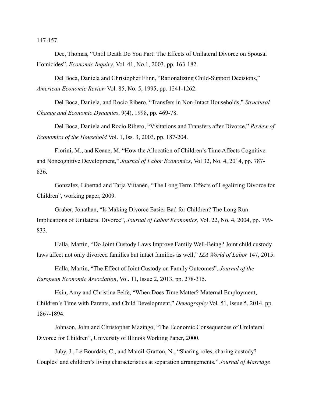147-157.

Dee, Thomas, "Until Death Do You Part: The Effects of Unilateral Divorce on Spousal Homicides", *Economic Inquiry*, Vol. 41, No.1, 2003, pp. 163-182.

Del Boca, Daniela and Christopher Flinn, "Rationalizing Child-Support Decisions," *American Economic Review* Vol. 85, No. 5, 1995, pp. 1241-1262.

Del Boca, Daniela, and Rocio Ribero, "Transfers in Non-Intact Households," *Structural Change and Economic Dynamics*, 9(4), 1998, pp. 469-78.

Del Boca, Daniela and Rocio Ribero, "Visitations and Transfers after Divorce," *Review of Economics of the Household* Vol. 1, Iss. 3, 2003, pp. 187-204.

Fiorini, M., and Keane, M. "How the Allocation of Children's Time Affects Cognitive and Noncognitive Development," *Journal of Labor Economics*, Vol 32, No. 4, 2014, pp. 787- 836.

Gonzalez, Libertad and Tarja Viitanen, "The Long Term Effects of Legalizing Divorce for Children", working paper, 2009.

Gruber, Jonathan, "Is Making Divorce Easier Bad for Children? The Long Run Implications of Unilateral Divorce", *Journal of Labor Economics,* Vol. 22, No. 4, 2004, pp. 799- 833.

Halla, Martin, "Do Joint Custody Laws Improve Family Well-Being? Joint child custody laws affect not only divorced families but intact families as well," *IZA World of Labor* 147, 2015.

Halla, Martin, "The Effect of Joint Custody on Family Outcomes", *Journal of the European Economic Association*, Vol. 11, Issue 2, 2013, pp. 278-315.

Hsin, Amy and Christina Felfe, "When Does Time Matter? Maternal Employment, Children's Time with Parents, and Child Development," *Demography* Vol. 51, Issue 5, 2014, pp. 1867-1894.

Johnson, John and Christopher Mazingo, "The Economic Consequences of Unilateral Divorce for Children", University of Illinois Working Paper, 2000.

Juby, J., Le Bourdais, C., and Marcil-Gratton, N., "Sharing roles, sharing custody? Couples' and children's living characteristics at separation arrangements." *Journal of Marriage*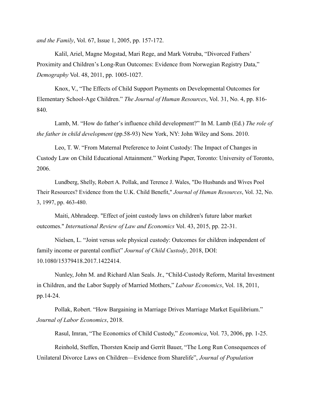*and the Family*, Vol. 67, Issue 1, 2005, pp. 157-172.

Kalil, Ariel, Magne Mogstad, Mari Rege, and Mark Votruba, "Divorced Fathers' Proximity and Children's Long-Run Outcomes: Evidence from Norwegian Registry Data," *Demography* Vol. 48, 2011, pp. 1005-1027.

Knox, V., "The Effects of Child Support Payments on Developmental Outcomes for Elementary School-Age Children." *The Journal of Human Resources*, Vol. 31, No. 4, pp. 816- 840.

Lamb, M. "How do father's influence child development?" In M. Lamb (Ed.) *The role of the father in child development* (pp.58-93) New York, NY: John Wiley and Sons. 2010.

Leo, T. W. "From Maternal Preference to Joint Custody: The Impact of Changes in Custody Law on Child Educational Attainment." Working Paper, Toronto: University of Toronto, 2006.

Lundberg, Shelly, Robert A. Pollak, and Terence J. Wales, "Do Husbands and Wives Pool Their Resources? Evidence from the U.K. Child Benefit," *Journal of Human Resources*, Vol. 32, No. 3, 1997, pp. 463-480.

Maiti, Abhradeep. "Effect of joint custody laws on children's future labor market outcomes." *International Review of Law and Economics* Vol. 43, 2015, pp. 22-31.

Nielsen, L. "Joint versus sole physical custody: Outcomes for children independent of family income or parental conflict" *Journal of Child Custody*, 2018, DOI: 10.1080/15379418.2017.1422414.

Nunley, John M. and Richard Alan Seals. Jr., "Child-Custody Reform, Marital Investment in Children, and the Labor Supply of Married Mothers," *Labour Economics*, Vol. 18, 2011, pp.14-24.

Pollak, Robert. "How Bargaining in Marriage Drives Marriage Market Equilibrium." *Journal of Labor Economics*, 2018.

Rasul, Imran, "The Economics of Child Custody," *Economica*, Vol. 73, 2006, pp. 1-25.

Reinhold, Steffen, Thorsten Kneip and Gerrit Bauer, "The Long Run Consequences of Unilateral Divorce Laws on Children—Evidence from Sharelife", *Journal of Population*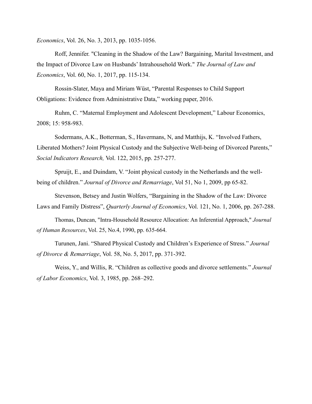*Economics*, Vol. 26, No. 3, 2013, pp. 1035-1056.

Roff, Jennifer. "Cleaning in the Shadow of the Law? Bargaining, Marital Investment, and the Impact of Divorce Law on Husbands' Intrahousehold Work." *The Journal of Law and Economics*, Vol. 60, No. 1, 2017, pp. 115-134.

Rossin-Slater, Maya and Miriam Wüst, "Parental Responses to Child Support Obligations: Evidence from Administrative Data," working paper, 2016.

Ruhm, C. "Maternal Employment and Adolescent Development," Labour Economics, 2008; 15: 958-983.

Sodermans, A.K., Botterman, S., Havermans, N, and Matthijs, K. "Involved Fathers, Liberated Mothers? Joint Physical Custody and the Subjective Well-being of Divorced Parents," *Social Indicators Research,* Vol. 122, 2015, pp. 257-277.

Spruijt, E., and Duindam, V. "Joint physical custody in the Netherlands and the wellbeing of children." *Journal of Divorce and Remarriage*, Vol 51, No 1, 2009, pp 65-82.

Stevenson, Betsey and Justin Wolfers, "Bargaining in the Shadow of the Law: Divorce Laws and Family Distress", *Quarterly Journal of Economics*, Vol. 121, No. 1, 2006, pp. 267-288.

Thomas, Duncan, "Intra-Household Resource Allocation: An Inferential Approach," *Journal of Human Resources*, Vol. 25, No.4, 1990, pp. 635-664.

Turunen, Jani. "Shared Physical Custody and Children's Experience of Stress." *Journal of Divorce & Remarriage*, Vol. 58, No. 5, 2017, pp. 371-392.

Weiss, Y., and Willis, R. "Children as collective goods and divorce settlements." *Journal of Labor Economics*, Vol. 3, 1985, pp. 268–292.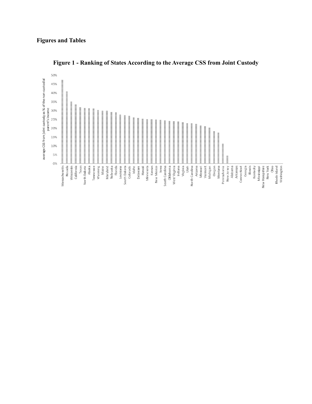# **Figures and Tables**

<span id="page-40-0"></span>

**Figure 1 - Ranking of States According to the Average CSS from Joint Custody**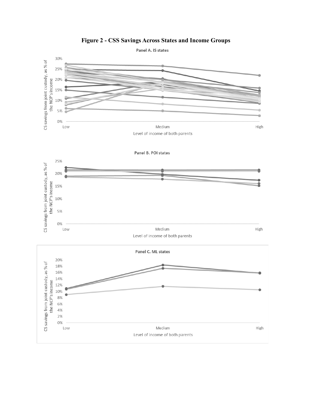<span id="page-41-0"></span>

# **Figure 2 - CSS Savings Across States and Income Groups**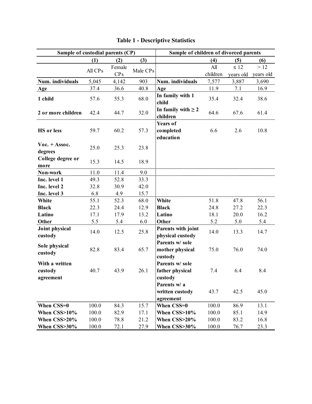<span id="page-42-0"></span>

| Sample of custodial parents (CP)         |         |        |          | Sample of children of divorced parents        |          |           |           |
|------------------------------------------|---------|--------|----------|-----------------------------------------------|----------|-----------|-----------|
|                                          | (1)     | (2)    | (3)      |                                               | (4)      | (5)       | (6)       |
|                                          | All CPs | Female | Male CPs |                                               | All      | $\leq 12$ | >12       |
|                                          |         | CPs    |          |                                               | children | years old | years old |
| Num. individuals                         | 5,045   | 4,142  | 903      | Num. individuals                              | 7,577    | 3,887     | 3,690     |
| Age                                      | 37.4    | 36.6   | 40.8     | Age                                           | 11.9     | 7.1       | 16.9      |
| 1 child                                  | 57.6    | 55.3   | 68.0     | In family with 1<br>child                     | 35.4     | 32.4      | 38.6      |
| 2 or more children                       | 42.4    | 44.7   | 32.0     | In family with $\geq 2$<br>children           | 64.6     | 67.6      | 61.4      |
| <b>HS</b> or less                        | 59.7    | 60.2   | 57.3     | Years of<br>completed<br>education            | 6.6      | 2.6       | 10.8      |
| $\text{Voc.} + \text{Assoc.}$<br>degrees | 25.0    | 25.3   | 23.8     |                                               |          |           |           |
| College degree or<br>more                | 15.3    | 14.5   | 18.9     |                                               |          |           |           |
| Non-work                                 | 11.0    | 11.4   | 9.0      |                                               |          |           |           |
| Inc. level 1                             | 49.3    | 52.8   | 33.3     |                                               |          |           |           |
| Inc. level 2                             | 32.8    | 30.9   | 42.0     |                                               |          |           |           |
| Inc. level 3                             | 6.8     | 4.9    | 15.7     |                                               |          |           |           |
| White                                    | 55.1    | 52.3   | 68.0     | White                                         | 51.8     | 47.8      | 56.1      |
| <b>Black</b>                             | 22.3    | 24.4   | 12.9     | <b>Black</b>                                  | 24.8     | 27.2      | 22.3      |
| Latino                                   | 17.1    | 17.9   | 13.2     | Latino                                        | 18.1     | 20.0      | 16.2      |
| Other                                    | 5.5     | 5.4    | 6.0      | Other                                         | 5.2      | 5.0       | 5.4       |
| Joint physical<br>custody                | 14.0    | 12.5   | 25.8     | Parents with joint<br>physical custody        | 14.0     | 13.3      | 14.7      |
| Sole physical<br>custody                 | 82.8    | 83.4   | 65.7     | Parents w/ sole<br>mother physical<br>custody | 75.0     | 76.0      | 74.0      |
| With a written<br>custody<br>agreement   | 40.7    | 43.9   | 26.1     | Parents w/ sole<br>father physical<br>custody | 7.4      | 6.4       | 8.4       |
|                                          |         |        |          | Parents w/ a<br>written custody<br>agreement  | 43.7     | 42.5      | 45.0      |
| When CSS=0                               | 100.0   | 84.3   | 15.7     | When CSS=0                                    | 100.0    | 86.9      | 13.1      |
| When CSS>10%                             | 100.0   | 82.9   | 17.1     | When CSS>10%                                  | 100.0    | 85.1      | 14.9      |
| When CSS>20%                             | 100.0   | 78.8   | 21.2     | When CSS>20%                                  | 100.0    | 83.2      | 16.8      |
| When CSS>30%                             | 100.0   | 72.1   | 27.9     | When CSS>30%                                  | 100.0    | 76.7      | 23.3      |

|  |  | <b>Table 1 - Descriptive Statistics</b> |
|--|--|-----------------------------------------|
|  |  |                                         |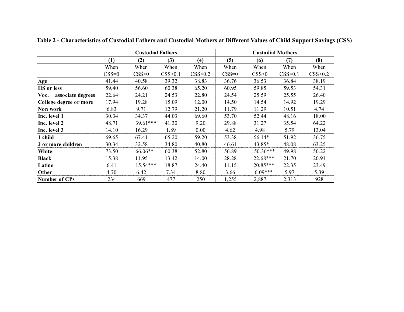<span id="page-43-0"></span>

|                          |         | <b>Custodial Fathers</b> |         |         |         | <b>Custodial Mothers</b><br>(8)<br>(6)<br>(7)<br>When<br>When<br>CSS>0<br>CSS>0.1<br>36.53<br>36.84<br>59.85<br>59.53<br>25.59<br>25.55<br>14.54<br>14.92<br>11.29<br>10.51<br>52.44<br>48.16<br>31.27<br>35.54<br>4.98<br>5.79<br>56.14*<br>51.92<br>43.85*<br>48.08<br>$50.36***$<br>49.98<br>$22.68***$<br>21.70<br>20.85***<br>22.35<br>$6.09***$<br>5.97 |       |         |  |  |
|--------------------------|---------|--------------------------|---------|---------|---------|---------------------------------------------------------------------------------------------------------------------------------------------------------------------------------------------------------------------------------------------------------------------------------------------------------------------------------------------------------------|-------|---------|--|--|
|                          | (1)     | (2)                      | (3)     | (4)     | (5)     |                                                                                                                                                                                                                                                                                                                                                               |       |         |  |  |
|                          | When    | When                     | When    | When    | When    |                                                                                                                                                                                                                                                                                                                                                               |       | When    |  |  |
|                          | $CSS=0$ | CSS>0                    | CSS>0.1 | CSS>0.2 | $CSS=0$ |                                                                                                                                                                                                                                                                                                                                                               |       | CSS>0.2 |  |  |
| Age                      | 41.44   | 40.58                    | 39.32   | 38.83   | 36.76   |                                                                                                                                                                                                                                                                                                                                                               |       | 38.19   |  |  |
| <b>HS</b> or less        | 59.40   | 56.60                    | 60.38   | 65.20   | 60.95   |                                                                                                                                                                                                                                                                                                                                                               |       | 54.31   |  |  |
| Voc. + associate degrees | 22.64   | 24.21                    | 24.53   | 22.80   | 24.54   |                                                                                                                                                                                                                                                                                                                                                               |       | 26.40   |  |  |
| College degree or more   | 17.94   | 19.28                    | 15.09   | 12.00   | 14.50   |                                                                                                                                                                                                                                                                                                                                                               |       | 19.29   |  |  |
| Non work                 | 6.83    | 9.71                     | 12.79   | 21.20   | 11.79   |                                                                                                                                                                                                                                                                                                                                                               |       | 4.74    |  |  |
| Inc. level 1             | 30.34   | 34.37                    | 44.03   | 69.60   | 53.70   |                                                                                                                                                                                                                                                                                                                                                               |       | 18.00   |  |  |
| Inc. level 2             | 48.71   | 39.61***                 | 41.30   | 9.20    | 29.88   |                                                                                                                                                                                                                                                                                                                                                               |       | 64.22   |  |  |
| Inc. level 3             | 14.10   | 16.29                    | 1.89    | 0.00    | 4.62    |                                                                                                                                                                                                                                                                                                                                                               |       | 13.04   |  |  |
| 1 child                  | 69.65   | 67.41                    | 65.20   | 59.20   | 53.38   |                                                                                                                                                                                                                                                                                                                                                               |       | 36.75   |  |  |
| 2 or more children       | 30.34   | 32.58                    | 34.80   | 40.80   | 46.61   |                                                                                                                                                                                                                                                                                                                                                               |       | 63.25   |  |  |
| White                    | 73.50   | 66.06**                  | 60.38   | 52.80   | 56.89   |                                                                                                                                                                                                                                                                                                                                                               |       | 50.22   |  |  |
| <b>Black</b>             | 15.38   | 11.95                    | 13.42   | 14.00   | 28.28   |                                                                                                                                                                                                                                                                                                                                                               |       | 20.91   |  |  |
| Latino                   | 6.41    | $15.54***$               | 18.87   | 24.40   | 11.15   |                                                                                                                                                                                                                                                                                                                                                               |       | 23.49   |  |  |
| Other                    | 4.70    | 6.42                     | 7.34    | 8.80    | 3.66    |                                                                                                                                                                                                                                                                                                                                                               |       | 5.39    |  |  |
| <b>Number of CPs</b>     | 234     | 669                      | 477     | 250     | 1,255   | 2,887                                                                                                                                                                                                                                                                                                                                                         | 2,313 | 928     |  |  |

**Table 2 - Characteristics of Custodial Fathers and Custodial Mothers at Different Values of Child Support Savings (CSS)**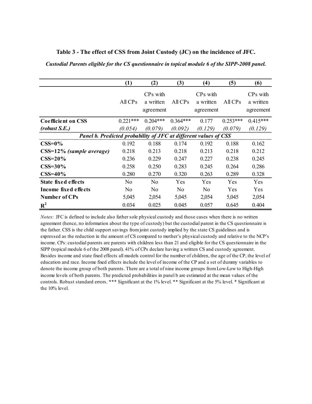|                                                                  | (1)            | (2)                                            | (3)            | (4)                                  | (5)        | (6)                                            |
|------------------------------------------------------------------|----------------|------------------------------------------------|----------------|--------------------------------------|------------|------------------------------------------------|
|                                                                  | $All$ $CPs$    | CP <sub>s</sub> with<br>a written<br>agreement | $All$ $CPs$    | $CPs$ with<br>a written<br>agreement | AllCPs     | CP <sub>s</sub> with<br>a written<br>agreement |
| <b>Coefficient on CSS</b>                                        | $0.221***$     | $0.204***$                                     | $0.364***$     | 0.177                                | $0.253***$ | $0.415***$                                     |
| (robust S.E.)                                                    | (0.054)        | (0.079)                                        | (0.092)        | (0.129)                              | (0.079)    | (0.129)                                        |
| Panel b. Predicted probability of JFC at different values of CSS |                |                                                |                |                                      |            |                                                |
| $\text{CSS}=0\%$                                                 | 0.192          | 0.188                                          | 0.174          | 0.192                                | 0.188      | 0.162                                          |
| CSS=12% (sample average)                                         | 0.218          | 0.213                                          | 0.218          | 0.213                                | 0.218      | 0.212                                          |
| $CSS=20\%$                                                       | 0.236          | 0.229                                          | 0.247          | 0.227                                | 0.238      | 0.245                                          |
| $\text{CSS}=30\%$                                                | 0.258          | 0.250                                          | 0.283          | 0.245                                | 0.264      | 0.286                                          |
| $CSS=40\%$                                                       | 0.280          | 0.270                                          | 0.320          | 0.263                                | 0.289      | 0.328                                          |
| State fixed effects                                              | No             | N <sub>0</sub>                                 | Yes            | Yes                                  | Yes        | <b>Yes</b>                                     |
| Income fixed effects                                             | N <sub>0</sub> | N <sub>0</sub>                                 | N <sub>0</sub> | No                                   | Yes        | Yes                                            |
| <b>Number of CPs</b>                                             | 5,045          | 2,054                                          | 5,045          | 2,054                                | 5,045      | 2,054                                          |
| $R^2$                                                            | 0.034          | 0.025                                          | 0.045          | 0.057                                | 0.645      | 0.404                                          |

**Table 3 - The effect of CSS from Joint Custody (JC) on the incidence of JFC.**

<span id="page-44-0"></span>*Custodial Parents eligible for the CS questionnaire in topical module 6 of the SIPP-2008 panel.*

*Notes:* JFC is defined to include also father sole physical custody and those cases when there is no written agreement (hence, no information about the type of custody) but the custodial parent in the CS questionnaire is the father. CSS is the child support savings from joint custody implied by the state CS guidelines and is expressed as the reduction in the amount of CS compared to mother's physical custody and relative to the NCP's income. CPs: custodial parents are parents with children less than 21 and eligible for the CS questionnaire in the SIPP (topical module 6 of the 2008 panel). 41% of CPs declare having a written CS and custody agreement. Besides income and state fixed effects all models control for the number of children, the age of the CP, the level of education and race. Income fixed effects include the level of income of the CP and a set of dummy variables to denote the income group of both parents. There are a total of nine income groups from Low-Low to High-High income levels of both parents. The predicted probabilities in panel b are estimated at the mean values of the controls. Robust standard errors. \*\*\* Significant at the 1% level. \*\* Significant at the 5% level. \* Significant at the 10% level.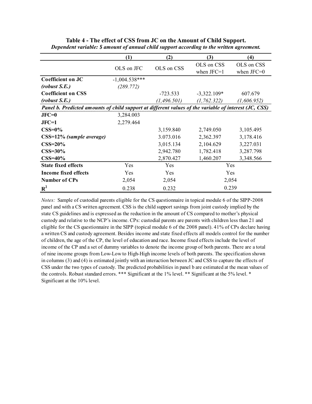|                                                                                                       | (1)             | (2)          | (3)                        | (4)                        |
|-------------------------------------------------------------------------------------------------------|-----------------|--------------|----------------------------|----------------------------|
|                                                                                                       | OLS on JFC      | OLS on CSS   | OLS on CSS<br>when $JFC=1$ | OLS on CSS<br>when $JFC=0$ |
| <b>Coefficient on JC</b>                                                                              | $-1,004.538***$ |              |                            |                            |
| (robust S.E.)                                                                                         | (289.772)       |              |                            |                            |
| <b>Coefficient on CSS</b>                                                                             |                 | $-723.533$   | $-3,322.109*$              | 607.679                    |
| (robust S.E.)                                                                                         |                 | (1, 496.501) | (1, 762.322)               | (1,606.952)                |
| Panel b. Predicted amounts of child support at different values of the variable of interest (JC, CSS) |                 |              |                            |                            |
| $JFC=0$                                                                                               | 3,284.003       |              |                            |                            |
| $JFC=1$                                                                                               | 2,279.464       |              |                            |                            |
| $CSS=0\%$                                                                                             |                 | 3,159.840    | 2,749.050                  | 3,105.495                  |
| CSS=12% (sample average)                                                                              |                 | 3.073.016    | 2,362.397                  | 3,178.416                  |
| $\text{CSS}=20\%$                                                                                     |                 | 3,015.134    | 2,104.629                  | 3,227.031                  |
| $CSS=30\%$                                                                                            |                 | 2,942.780    | 1,782.418                  | 3,287.798                  |
| $CSS=40\%$                                                                                            |                 | 2,870.427    | 1,460.207                  | 3,348.566                  |
| <b>State fixed effects</b>                                                                            | Yes             | Yes          | Yes                        |                            |
| <b>Income fixed effects</b>                                                                           | <b>Yes</b>      | Yes          | Yes                        |                            |
| <b>Number of CPs</b>                                                                                  | 2,054           | 2,054        | 2,054                      |                            |
| $R^2$                                                                                                 | 0.238           | 0.232        | 0.239                      |                            |

<span id="page-45-0"></span>**Table 4 - The effect of CSS from JC on the Amount of Child Support.** *Dependent variable: \$ amount of annual child support according to the written agreement.*

*Notes:* Sample of custodial parents eligible for the CS questionnaire in topical module 6 of the SIPP-2008 panel and with a CS written agreement. CSS is the child support savings from joint custody implied by the state CS guidelines and is expressed as the reduction in the amount of CS compared to mother's physical custody and relative to the NCP's income. CPs: custodial parents are parents with children less than 21 and eligible for the CS questionnaire in the SIPP (topical module 6 of the 2008 panel). 41% of CPs declare having a written CS and custody agreement. Besides income and state fixed effects all models control for the number of children, the age of the CP, the level of education and race. Income fixed effects include the level of income of the CP and a set of dummy variables to denote the income group of both parents. There are a total of nine income groups from Low-Low to High-High income levels of both parents. The specification shown in columns (3) and (4) is estimated jointly with an interaction between JC and CSS to capture the effects of CSS under the two types of custody. The predicted probabilities in panel b are estimated at the mean values of the controls. Robust standard errors. \*\*\* Significant at the 1% level. \*\* Significant at the 5% level. \* Significant at the 10% level.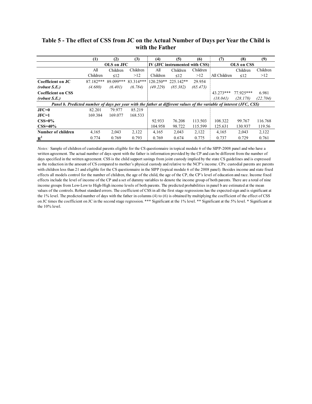|                                                                                                                       | (1)       | (2)        | (3)       | (4)         | (5)                            | (6)      | (7)          | (8)        | (9)      |
|-----------------------------------------------------------------------------------------------------------------------|-----------|------------|-----------|-------------|--------------------------------|----------|--------------|------------|----------|
|                                                                                                                       |           | OLS on JFC |           |             | IV (JFC instrumented with CSS) |          |              | OLS on CSS |          |
|                                                                                                                       | All       | Children   | Children  | All         | Children                       | Children |              | Children   | Children |
|                                                                                                                       | Children  | $\leq$ 12  | >12       | Children    | $\leq 12$                      | >12      | All Children | $\leq 12$  | >12      |
| Coefficient on JC                                                                                                     | 87.182*** | 89.099***  | 83.314*** | $120.250**$ | 225.142**                      | 29.954   |              |            |          |
| (robust S.E.)                                                                                                         | (4.680)   | (6.401)    | (6.784)   | (49.229)    | (85.382)                       | (65.473) |              |            |          |
| <b>Coefficient on CSS</b>                                                                                             |           |            |           |             |                                |          | $43.273***$  | 77.925***  | 6.981    |
| (robust S.E.)                                                                                                         |           |            |           |             |                                |          | (18.041)     | (28.178)   | (22.704) |
| Panel b. Predicted number of days per year with the father at different values of the variable of interest (JFC, CSS) |           |            |           |             |                                |          |              |            |          |
| $JFC=0$                                                                                                               | 82.201    | 79.977     | 85.219    |             |                                |          |              |            |          |
| $JFC=1$                                                                                                               | 169.384   | 169.077    | 168.533   |             |                                |          |              |            |          |
| $CSS=0\%$                                                                                                             |           |            |           | 92.933      | 76.208                         | 113.503  | 108.322      | 99.767     | 116.768  |
| $CSS=40\%$                                                                                                            |           |            |           | 104.958     | 98.722                         | 115.599  | 125.631      | 130.937    | 119.56   |
| Number of children                                                                                                    | 4,165     | 2,043      | 2,122     | 4,165       | 2,043                          | 2,122    | 4,165        | 2,043      | 2,122    |
| $R^2$                                                                                                                 | 0.774     | 0.769      | 0.793     | 0.769       | 0.674                          | 0.775    | 0.737        | 0.729      | 0.761    |

## <span id="page-46-0"></span>**Table 5 - The effect of CSS from JC on the Actual Number of Days per Year the Child is with the Father**

*Notes:* Sample of children of custodial parents eligible for the CS questionnaire in topical module 6 of the SIPP-2008 panel and who have a written agreement. The actual number of days spent with the father is information provided by the CP and can be different from the number of days specified in the written agreement. CSS is the child support savings from joint custody implied by the state CS guidelines and is expressed as the reduction in the amount of CS compared to mother's physical custody and relative to the NCP's income. CPs: custodial parents are parents with children less than 21 and eligible for the CS questionnaire in the SIPP (topical module 6 of the 2008 panel). Besides income and state fixed effects all models control for the number of children, the age of the child, the age of the CP, the CP's level of education and race. Income fixed effects include the level of income of the CP and a set of dummy variables to denote the income group of both parents. There are a total of nine income groups from Low-Low to High-High income levels of both parents. The predicted probabilities in panel b are estimated at the mean values of the controls. Robust standard errors. The coefficient of CSS in all the first stage regressions has the expected sign and is significant at the 1% level. The predicted number of days with the father in columns (4) to (6) is obtained by multiplying the coefficient of the effect of CSS on JC times the coefficient on JC in the second stage regression. \*\*\* Significant at the 1% level. \*\* Significant at the 5% level. \* Significant at the 10% level.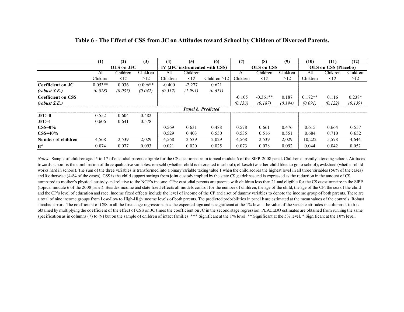|                           | (1)       | (2)        | (3)       | (4)      | (5)       | (6)                            | (7)      | (8)        | (9)      | (10)      | (11)                 | (12)     |
|---------------------------|-----------|------------|-----------|----------|-----------|--------------------------------|----------|------------|----------|-----------|----------------------|----------|
|                           |           | OLS on JFC |           |          |           | IV (JFC instrumented with CSS) |          | OLS on CSS |          |           | OLS on CSS (Placebo) |          |
|                           | All       | Children   | Children  | All      | Children  |                                | All      | Children   | Children | All       | Children             | Children |
|                           | Children  | $\leq 12$  | >12       | Children | $\leq 12$ | Children $>12$                 | Children | $\leq 12$  | >12      | Children  | $\leq 12$            | >12      |
| Coefficient on JC         | $0.053**$ | 0.036      | $0.096**$ | $-0.400$ | $-2.277$  | 0.621                          |          |            |          |           |                      |          |
| (robust S.E.)             | (0.028)   | (0.037)    | (0.042)   | (0.512)  | (1.991)   | (0.671)                        |          |            |          |           |                      |          |
| <b>Coefficient on CSS</b> |           |            |           |          |           |                                | $-0.105$ | $-0.361**$ | 0.187    | $0.172**$ | 0.116                | $0.238*$ |
| (robust S.E.)             |           |            |           |          |           |                                | (0.133)  | (0.187)    | (0.194)  | (0.091)   | (0.122)              | (0.139)  |
|                           |           |            |           |          |           | <b>Panel b. Predicted</b>      |          |            |          |           |                      |          |
| $JFC=0$                   | 0.552     | 0.604      | 0.482     |          |           |                                |          |            |          |           |                      |          |
| $JFC=1$                   | 0.606     | 0.641      | 0.578     |          |           |                                |          |            |          |           |                      |          |
| $CSS=0\%$                 |           |            |           | 0.569    | 0.631     | 0.488                          | 0.578    | 0.661      | 0.476    | 0.615     | 0.664                | 0.557    |
| $CSS=40\%$                |           |            |           | 0.529    | 0.403     | 0.550                          | 0.535    | 0.516      | 0.551    | 0.684     | 0.710                | 0.652    |
| Number of children        | 4,568     | 2,539      | 2,029     | 4,568    | 2,539     | 2,029                          | 4,568    | 2,539      | 2,029    | 10,222    | 5,578                | 4,644    |
| $R^2$                     | 0.074     | 0.077      | 0.093     | 0.021    | 0.020     | 0.025                          | 0.073    | 0.078      | 0.092    | 0.044     | 0.042                | 0.052    |

#### **Table 6 - The Effect of CSS from JC on Attitudes toward School by Children of Divorced Parents.**

<span id="page-47-0"></span>*Notes:* Sample of children aged 5 to 17 of custodial parents eligible for the CS questionnaire in topical module 6 of the SIPP-2008 panel. Children currently attending school. Attitudes towards school is the combination of three qualitative variables: eintschl (whether child is interested in school); elikesch (whether child likes to go to school); ewkshard (whether child works hard in school). The sum of the three variables is transformed into a binary variable taking value 1 when the child scores the highest level in all three variables (56% of the cases) and 0 otherwise (44% of the cases). CSS is the child support savings from joint custody implied by the state CS guidelines and is expressed as the reduction in the amount of CS compared to mother's physical custody and relative to the NCP's income. CPs: custodial parents are parents with children less than 21 and eligible for the CS questionnaire in the SIPP (topical module 6 of the 2008 panel). Besides income and state fixed effects all models control for the number of children, the age of the child, the age of the CP, the sex of the child and the CP's level of education and race. Income fixed effects include the level of income of the CP and a set of dummy variables to denote the income group of both parents. There are a total of nine income groups from Low-Low to High-High income levels of both parents. The predicted probabilities in panel b are estimated at the mean values of the controls. Robust standard errors. The coefficient of CSS in all the first stage regressions has the expected sign and is significant at the 1% level. The value of the variable attitudes in columns 4 to 6 is obtained by multiplying the coefficient of the effect of CSS on JC times the coefficient on JC in the second stage regression. PLACEBO estimates are obtained from running the same specification as in columns (7) to (9) but on the sample of children of intact families. \*\*\* Significant at the 1% level. \*\* Significant at the 5% level. \* Significant at the 10% level.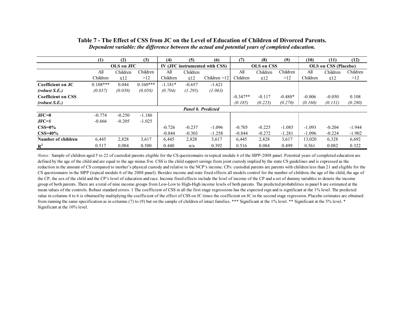|                           | (1)        | (2)        | (3)        | (4)       | (5)       | (6)                            | (7)        | (8)        | (9)       | (10)     | (11)                        | (12)     |
|---------------------------|------------|------------|------------|-----------|-----------|--------------------------------|------------|------------|-----------|----------|-----------------------------|----------|
|                           |            | OLS on JFC |            |           |           | IV (JFC instrumented with CSS) |            | OLS on CSS |           |          | <b>OLS</b> on CSS (Placebo) |          |
|                           | All        | Children   | Children   | All       | Children  |                                | All        | Children   | Children  | All      | Children                    | Children |
|                           | Children   | $\leq 12$  | >12        | Children  | $\leq 12$ | Children $>12$                 | Children   | $\leq 12$  | >12       | Children | $\leq 12$                   | >12      |
| Coefficient on JC         | $0.108***$ | 0.044      | $0.160***$ | $-1.181*$ | $-0.657$  | $-1.621$                       |            |            |           |          |                             |          |
| (robust S.E.)             | (0.037)    | (0.039)    | (0.058)    | (0.704)   | (1.295)   | (1.063)                        |            |            |           |          |                             |          |
| <b>Coefficient on CSS</b> |            |            |            |           |           |                                | $-0.347**$ | $-0.117$   | $-0.488*$ | $-0.006$ | $-0.050$                    | 0.108    |
| (robust S.E.)             |            |            |            |           |           |                                | (0.185)    | (0.223)    | (0.270)   | (0.160)  | (0.131)                     | (0.280)  |
|                           |            |            |            |           |           | <b>Panel b. Predicted</b>      |            |            |           |          |                             |          |
| $JFC=0$                   | $-0.774$   | $-0.250$   | $-1.186$   |           |           |                                |            |            |           |          |                             |          |
| $JFC=1$                   | $-0.666$   | $-0.205$   | $-1.025$   |           |           |                                |            |            |           |          |                             |          |
| $CSS=0\%$                 |            |            |            | $-0.726$  | $-0.237$  | $-1.096$                       | $-0.705$   | $-0.225$   | $-1.085$  | $-1.093$ | $-0.204$                    | $-1.944$ |
| $CSS=40\%$                |            |            |            | $-0.844$  | $-0.303$  | $-1.258$                       | $-0.844$   | $-0.272$   | $-1.281$  | $-1.096$ | $-0.224$                    | $-1.902$ |
| Number of children        | 6,445      | 2,828      | 3,617      | 6,445     | 2,828     | 3,617                          | 6,445      | 2,828      | 3,617     | 13,020   | 6,328                       | 6,692    |
| $R^2$                     | 0.517      | 0.084      | 0.500      | 0.440     | n/a       | 0.392                          | 0.516      | 0.084      | 0.499     | 0.561    | 0.082                       | 0.322    |

## **Table 7 - The Effect of CSS from JC on the Level of Education of Children of Divorced Parents.** *Dependent variable: the difference between the actual and potential years of completed education.*

<span id="page-48-0"></span>*Notes:* Sample of children aged 5 to 22 of custodial parents eligible for the CS questionnaire in topical module 6 of the SIPP-2008 panel. Potential years of completed education are defined by the age of the child and are equal to the age minus five. CSS is the child support savings from joint custody implied by the state CS guidelines and is expressed as the reduction in the amount of CS compared to mother's physical custody and relative to the NCP's income. CPs: custodial parents are parents with children less than 21 and eligible for the CS questionnaire in the SIPP (topical module 6 of the 2008 panel). Besides income and state fixed effects all models control for the number of children, the age of the child, the age of the CP, the sex of the child and the CP's level of education and race. Income fixed effects include the level of income of the CP and a set of dummy variables to denote the income group of both parents. There are a total of nine income groups from Low-Low to High-High income levels of both parents. The predicted probabilities in panel b are estimated at the mean values of the controls. Robust standard errors. 1 The coefficient of CSS in all the first stage regressions has the expected sign and is significant at the 1% level. The predicted value in columns 4 to 6 is obtained by multiplying the coefficient of the effect of CSS on JC times the coefficient on JC in the second stage regression. Placebo estimates are obtained from running the same specification as in columns (7) to (9) but on the sample of children of intact families. \*\*\* Significant at the 1% level. \*\* Significant at the 5% level. \* Significant at the 10% level.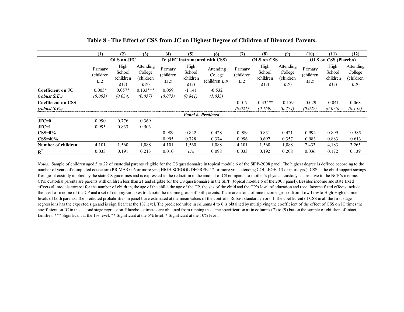|                           | (1)                                | (2)                                       | (3)                                              | (4)                                | (5)                                       | (6)                                         | (7)                                | (8)                                        | (9)                                              | (10)                               | (11)                                      | (12)                                            |  |
|---------------------------|------------------------------------|-------------------------------------------|--------------------------------------------------|------------------------------------|-------------------------------------------|---------------------------------------------|------------------------------------|--------------------------------------------|--------------------------------------------------|------------------------------------|-------------------------------------------|-------------------------------------------------|--|
|                           |                                    | OLS on JFC                                |                                                  |                                    |                                           | IV (JFC instrumented with CSS)              |                                    | OLS on CSS                                 |                                                  |                                    | OLS on CSS (Placebo)                      |                                                 |  |
|                           | Primary<br>(children<br>$\geq$ 12) | High<br>School<br>(children<br>$\geq$ 18) | Attending<br>College<br>(children)<br>$\geq$ 19) | Primary<br>(children<br>$\geq$ 12) | High<br>School<br>(children<br>$\geq$ 18) | Attending<br>College<br>(children $\ge$ 19) | Primary<br>(children<br>$\geq$ 12) | High<br>School<br>(children)<br>$\geq$ 18) | Attending<br>College<br>(children)<br>$\geq$ 19) | Primary<br>(children<br>$\geq$ 12) | High<br>School<br>(children<br>$\geq$ 18) | Attending<br>College<br>(children<br>$\geq$ 19) |  |
| Coefficient on JC         | $0.005*$                           | $0.057*$                                  | $0.133***$                                       | 0.059                              | $-1.141$                                  | $-0.532$                                    |                                    |                                            |                                                  |                                    |                                           |                                                 |  |
| (robust S.E.)             | (0.003)                            | (0.034)                                   | (0.057)                                          | (0.075)                            | (0.841)                                   | (1.033)                                     |                                    |                                            |                                                  |                                    |                                           |                                                 |  |
| <b>Coefficient on CSS</b> |                                    |                                           |                                                  |                                    |                                           |                                             | 0.017                              | $-0.334**$                                 | $-0.159$                                         | $-0.029$                           | $-0.041$                                  | 0.068                                           |  |
| (robust S.E.)             |                                    |                                           |                                                  |                                    |                                           |                                             | (0.021)                            | (0.169)                                    | (0.274)                                          | (0.027)                            | (0.076)                                   | (0.152)                                         |  |
|                           |                                    |                                           |                                                  |                                    |                                           | <b>Panel b. Predicted</b>                   |                                    |                                            |                                                  |                                    |                                           |                                                 |  |
| $JFC=0$                   | 0.990                              | 0.776                                     | 0.369                                            |                                    |                                           |                                             |                                    |                                            |                                                  |                                    |                                           |                                                 |  |
| $JFC=1$                   | 0.995                              | 0.833                                     | 0.503                                            |                                    |                                           |                                             |                                    |                                            |                                                  |                                    |                                           |                                                 |  |
| $CSS=0\%$                 |                                    |                                           |                                                  | 0.989                              | 0.842                                     | 0.428                                       | 0.989                              | 0.831                                      | 0.421                                            | 0.994                              | 0.899                                     | 0.585                                           |  |
| $CSS=40\%$                |                                    |                                           |                                                  | 0.995                              | 0.728                                     | 0.374                                       | 0.996                              | 0.697                                      | 0.357                                            | 0.983                              | 0.883                                     | 0.613                                           |  |
| Number of children        | 4,101                              | .560                                      | 1,088                                            | 4,101                              | 1,560                                     | 1,088                                       | 4,101                              | 1,560                                      | 1,088                                            | 7,433                              | 4,183                                     | 3,265                                           |  |
| $R^2$                     | 0.033                              | 0.191                                     | 0.213                                            | 0.010                              | n/a                                       | 0.098                                       | 0.033                              | 0.192                                      | 0.208                                            | 0.036                              | 0.172                                     | 0.139                                           |  |

**Table 8 - The Effect of CSS from JC on Highest Degree of Children of Divorced Parents.**

<span id="page-49-0"></span>*Notes:* Sample of children aged 5 to 22 of custodial parents eligible for the CS questionnaire in topical module 6 of the SIPP-2008 panel. The highest degree is defined according to the number of years of completed education (PRIMARY: 6 or more yrs.; HIGH SCHOOL DEGREE: 12 or more yrs.; attending COLLEGE: 13 or more yrs.). CSS is the child support savings from joint custody implied by the state CS guidelines and is expressed as the reduction in the amount of CS compared to mother's physical custody and relative to the NCP's income. CPs: custodial parents are parents with children less than 21 and eligible for the CS questionnaire in the SIPP (topical module 6 of the 2008 panel). Besides income and state fixed effects all models control for the number of children, the age of the child, the age of the CP, the sex of the child and the CP's level of education and race. Income fixed effects include the level of income of the CP and a set of dummy variables to denote the income group of both parents. There are a total of nine income groups from Low-Low to High-High income levels of both parents. The predicted probabilities in panel b are estimated at the mean values of the controls. Robust standard errors. 1 The coefficient of CSS in all the first stage regressions has the expected sign and is significant at the 1% level. The predicted value in columns 4 to 6 is obtained by multiplying the coefficient of the effect of CSS on JC times the coefficient on JC in the second stage regression. Placebo estimates are obtained from running the same specification as in columns (7) to (9) but on the sample of children of intact families. \*\*\* Significant at the 1% level. \*\* Significant at the 5% level. \* Significant at the 10% level.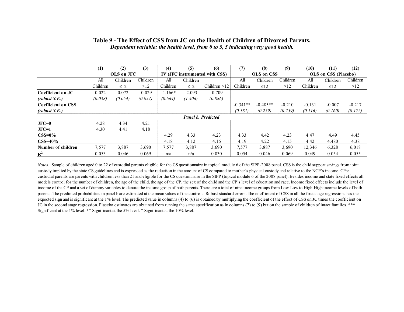|                           | (1)      | (2)        | (3)      | (4)       | (5)       | (6)                            | (7)        | (8)        | (9)      | (10)     | (11)                                                                                                                  | (12)  |  |  |
|---------------------------|----------|------------|----------|-----------|-----------|--------------------------------|------------|------------|----------|----------|-----------------------------------------------------------------------------------------------------------------------|-------|--|--|
|                           |          | OLS on JFC |          |           |           | IV (JFC instrumented with CSS) |            | OLS on CSS |          |          | OLS on CSS (Placebo)<br>Children<br>All<br>Children<br>>12<br>$\leq 12$<br>$-0.007$<br>$-0.217$<br>(0.172)<br>(0.160) |       |  |  |
|                           | All      | Children   | Children | All       | Children  |                                | All        | Children   | Children |          |                                                                                                                       |       |  |  |
|                           | Children | $\leq 12$  | >12      | Children  | $\leq 12$ | Children $>12$                 | Children   | $\leq$ 12  | >12      | Children |                                                                                                                       |       |  |  |
| Coefficient on JC         | 0.022    | 0.072      | $-0.029$ | $-1.166*$ | $-2.093$  | $-0.709$                       |            |            |          |          |                                                                                                                       |       |  |  |
| (robust S.E.)             | (0.038)  | (0.054)    | (0.054)  | (0.664)   | (1.406)   | (0.886)                        |            |            |          |          |                                                                                                                       |       |  |  |
| <b>Coefficient on CSS</b> |          |            |          |           |           |                                | $-0.341**$ | $-0.485**$ | $-0.210$ | $-0.131$ |                                                                                                                       |       |  |  |
| (robust S.E.)             |          |            |          |           |           |                                | (0.181)    | (0.259)    | (0.259)  | (0.116)  |                                                                                                                       |       |  |  |
|                           |          |            |          |           |           | <b>Panel b. Predicted</b>      |            |            |          |          |                                                                                                                       |       |  |  |
| $JFC=0$                   | 4.28     | 4.34       | 4.21     |           |           |                                |            |            |          |          |                                                                                                                       |       |  |  |
| $JFC=1$                   | 4.30     | 4.41       | 4.18     |           |           |                                |            |            |          |          |                                                                                                                       |       |  |  |
| $CSS=0\%$                 |          |            |          | 4.29      | 4.33      | 4.23                           | 4.33       | 4.42       | 4.23     | 4.47     | 4.49                                                                                                                  | 4.45  |  |  |
| $CSS=40\%$                |          |            |          | 4.18      | 4.12      | 4.16                           | 4.19       | 4.22       | 4.15     | 4.42     | 4.480                                                                                                                 | 4.38  |  |  |
| Number of children        | 7,577    | 3,887      | 3,690    | 7,577     | 3,887     | 3,690                          | 7,577      | 3,887      | 3,690    | 12,346   | 6,328                                                                                                                 | 6,018 |  |  |
| $R^2$                     | 0.053    | 0.046      | 0.069    | n/a       | n/a       | 0.030                          | 0.054      | 0.046      | 0.069    | 0.049    | 0.054                                                                                                                 | 0.055 |  |  |

#### **Table 9 - The Effect of CSS from JC on the Health of Children of Divorced Parents.** *Dependent variable: the health level, from 0 to 5, 5 indicating very good health.*

<span id="page-50-0"></span>*Notes:* Sample of children aged 0 to 22 of custodial parents eligible for the CS questionnaire in topical module 6 of the SIPP-2008 panel. CSS is the child support savings from joint custody implied by the state CS guidelines and is expressed as the reduction in the amount of CS compared to mother's physical custody and relative to the NCP's income. CPs: custodial parents are parents with children less than 21 and eligible for the CS questionnaire in the SIPP (topical module 6 of the 2008 panel). Besides income and state fixed effects all models control for the number of children, the age of the child, the age of the CP, the sex of the child and the CP's level of education and race. Income fixed effects include the level of income of the CP and a set of dummy variables to denote the income group of both parents. There are a total of nine income groups from Low-Low to High-High income levels of both parents. The predicted probabilities in panel b are estimated at the mean values of the controls. Robust standard errors. The coefficient of CSS in all the first stage regressions has the expected sign and is significant at the 1% level. The predicted value in columns (4) to (6) is obtained by multiplying the coefficient of the effect of CSS on JC times the coefficient on JC in the second stage regression. Placebo estimates are obtained from running the same specification as in columns (7) to (9) but on the sample of children of intact families. \*\*\* Significant at the 1% level. \*\* Significant at the 5% level. \* Significant at the 10% level.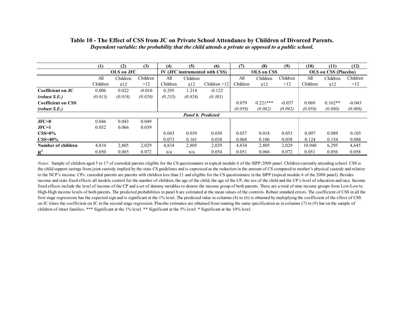|                           | (1)        | (2)       | (3)      | (4)                            | (5)       | (6)                       | (7)        | (8)        | (9)      | (10)                 | (11)      | (12)     |
|---------------------------|------------|-----------|----------|--------------------------------|-----------|---------------------------|------------|------------|----------|----------------------|-----------|----------|
|                           | OLS on JFC |           |          | IV (JFC instrumented with CSS) |           |                           | OLS on CSS |            |          | OLS on CSS (Placebo) |           |          |
|                           | All        | Children  | Children | All                            | Children  |                           | All        | Children   | Children | All                  | Children  | Children |
|                           | Children   | $\leq 12$ | >12      | Children                       | $\leq 12$ | Children $>12$            | Children   | $\leq 12$  | >12      | Children             | $\leq 12$ | >12      |
| Coefficient on JC         | 0.006      | 0.022     | $-0.010$ | 0.295                          | 1.214     | $-0.123$                  |            |            |          |                      |           |          |
| (robust S.E.)             | (0.013)    | (0.018)   | (0.020)  | (0.235)                        | (0.858)   | (0.301)                   |            |            |          |                      |           |          |
| <b>Coefficient on CSS</b> |            |           |          |                                |           |                           | 0.079      | $0.221***$ | $-0.037$ | 0.069                | $0.162**$ | $-0.043$ |
| (robust S.E.)             |            |           |          |                                |           |                           | (0.059)    | (0.082)    | (0.092)  | (0.058)              | (0.080)   | (0.088)  |
|                           |            |           |          |                                |           | <b>Panel b. Predicted</b> |            |            |          |                      |           |          |
| $JFC=0$                   | 0.046      | 0.043     | 0.049    |                                |           |                           |            |            |          |                      |           |          |
| $JFC=1$                   | 0.052      | 0.066     | 0.039    |                                |           |                           |            |            |          |                      |           |          |
| $CSS=0\%$                 |            |           |          | 0.043                          | 0.039     | 0.050                     | 0.037      | 0.018      | 0.053    | 0.097                | 0.089     | 0.105    |
| $CSS=40\%$                |            |           |          | 0.073                          | 0.161     | 0.038                     | 0.068      | 0.106      | 0.038    | 0.124                | 0.154     | 0.088    |
| Number of children        | 4,834      | 2,805     | 2,029    | 4,834                          | 2,805     | 2,029                     | 4,834      | 2,805      | 2,029    | 10,940               | 6,295     | 4,645    |
| $\mathbf{R}^2$            | 0.050      | 0.065     | 0.072    | n/a                            | n/a       | 0.054                     | 0.051      | 0.066      | 0.072    | 0.051                | 0.056     | 0.058    |

#### **Table 10 - The Effect of CSS from JC on Private School Attendance by Children of Divorced Parents.** *Dependent variable: the probability that the child attends a private as opposed to a public school.*

*Notes:* Sample of children aged 5 to 17 of custodial parents eligible for the CS questionnaire in topical module 6 of the SIPP-2008 panel. Children currently attending school. CSS is the child support savings from joint custody implied by the state CS guidelines and is expressed as the reduction in the amount of CS compared to mother's physical custody and relative to the NCP's income. CPs: custodial parents are parents with children less than 21 and eligible for the CS questionnaire in the SIPP (topical module 6 of the 2008 panel). Besides income and state fixed effects all models control for the number of children, the age of the child, the age of the CP, the sex of the child and the CP's level of education and race. Income fixed effects include the level of income of the CP and a set of dummy variables to denote the income group of both parents. There are a total of nine income groups from Low-Low to High-High income levels of both parents. The predicted probabilities in panel b are estimated at the mean values of the controls. Robust standard errors. The coefficient of CSS in all the first stage regressions has the expected sign and is significant at the 1% level. The predicted value in columns (4) to (6) is obtained by multiplying the coefficient of the effect of CSS on JC times the coefficient on JC in the second stage regression. Placebo estimates are obtained from running the same specification as in columns (7) to (9) but on the sample of children of intact families. \*\*\* Significant at the 1% level. \*\* Significant at the 5% level. \* Significant at the 10% level.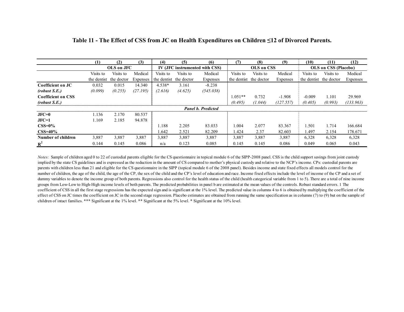|                           | (1)         | (2)        | (3)      | (4)                            | (5)        | (6)                       | (7)         | (8)        | (9)       | (10)      | (11)                        | (12)      |  |
|---------------------------|-------------|------------|----------|--------------------------------|------------|---------------------------|-------------|------------|-----------|-----------|-----------------------------|-----------|--|
|                           | OLS on JFC  |            |          | IV (JFC instrumented with CSS) |            |                           |             | OLS on CSS |           |           | <b>OLS</b> on CSS (Placebo) |           |  |
|                           | Visits to   | Visits to  | Medical  | Visits to                      | Visits to  | Medical                   | Visits to   | Visits to  | Medical   | Visits to | Visits to                   | Medical   |  |
|                           | the dentist | the doctor | Expenses | the dentist                    | the doctor | Expenses                  | the dentist | the doctor | Expenses  |           | the dentist the doctor      | Expenses  |  |
| Coefficient on JC         | 0.032       | 0.015      | 14.340   | $4.538*$                       | 3.161      | $-8.238$                  |             |            |           |           |                             |           |  |
| (robust S.E.)             | (0.099)     | (0.255)    | (27.195) | (2.616)                        | (4.625)    | (545.038)                 |             |            |           |           |                             |           |  |
| <b>Coefficient on CSS</b> |             |            |          |                                |            |                           | $1.051**$   | 0.732      | $-1.908$  | $-0.009$  | 1.101                       | 29.969    |  |
| (robust S.E.)             |             |            |          |                                |            |                           | (0.495)     | (1.044)    | (127.557) | (0.405)   | (0.993)                     | (133.963) |  |
|                           |             |            |          |                                |            | <b>Panel b. Predicted</b> |             |            |           |           |                             |           |  |
| $JFC=0$                   | 1.136       | 2.170      | 80.537   |                                |            |                           |             |            |           |           |                             |           |  |
| $JFC=1$                   | 1.169       | 2.185      | 94.878   |                                |            |                           |             |            |           |           |                             |           |  |
| $CSS=0\%$                 |             |            |          | 1.188                          | 2.205      | 83.033                    | 1.004       | 2.077      | 83.367    | 1.501     | 1.714                       | 166.684   |  |
| $CSS=40\%$                |             |            |          | l.642                          | 2.521      | 82.209                    | 1.424       | 2.37       | 82.603    | 1.497     | 2.154                       | 178.671   |  |
| Number of children        | 3,887       | 3,887      | 3,887    | 3,887                          | 3,887      | 3,887                     | 3,887       | 3,887      | 3,887     | 6,328     | 6,328                       | 6,328     |  |
| $R^2$                     | 0.144       | 0.145      | 0.086    | n/a                            | 0.123      | 0.085                     | 0.145       | 0.145      | 0.086     | 0.049     | 0.065                       | 0.043     |  |

#### **Table 11 - The Effect of CSS from JC on Health Expenditures on Children ≤12 of Divorced Parents.**

*Notes:* Sample of children aged 0 to 22 of custodial parents eligible for the CS questionnaire in topical module 6 of the SIPP-2008 panel. CSS is the child support savings from joint custody implied by the state CS guidelines and is expressed as the reduction in the amount of CS compared to mother's physical custody and relative to the NCP's income. CPs: custodial parents are parents with children less than 21 and eligible for the CS questionnaire in the SIPP (topical module 6 of the 2008 panel). Besides income and state fixed effects all models control for the number of children, the age of the child, the age of the CP, the sex of the child and the CP's level of education and race. Income fixed effects include the level of income of the CP and a set of dummy variables to denote the income group of both parents. Regressions also control for the health status of the child (health categorical variable from 1 to 5). There are a total of nine income groups from Low-Low to High-High income levels of both parents. The predicted probabilities in panel b are estimated at the mean values of the controls. Robust standard errors. 1 The coefficient of CSS in all the first stage regressions has the expected sign and is significant at the 1% level. The predicted value in columns 4 to 6 is obtained by multiplying the coefficient of the effect of CSS on JC times the coefficient on JC in the second stage regression. Placebo estimates are obtained from running the same specification as in columns (7) to (9) but on the sample of children of intact families. \*\*\* Significant at the 1% level. \*\* Significant at the 5% level. \* Significant at the 10% level.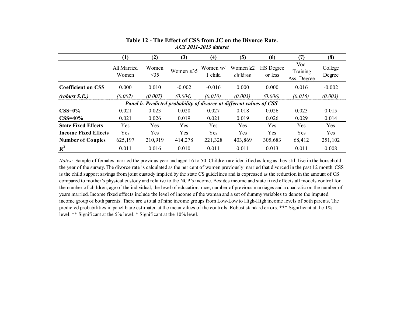|                             | (1)                  | (2)          | (3)                                                                  | (4)                 | (5)                        | $\boldsymbol{\left( 6\right) }$ | (7)                             | (8)               |
|-----------------------------|----------------------|--------------|----------------------------------------------------------------------|---------------------|----------------------------|---------------------------------|---------------------------------|-------------------|
|                             | All Married<br>Women | Women<br><35 | Women $\geq 35$                                                      | Women w/<br>1 child | Women $\geq$ 2<br>children | HS Degree<br>or less            | Voc.<br>Training<br>Ass. Degree | College<br>Degree |
| <b>Coefficient on CSS</b>   | 0.000                | 0.010        | $-0.002$                                                             | $-0.016$            | 0.000                      | 0.000                           | 0.016                           | $-0.002$          |
| (robust S.E.)               | (0.002)              | (0.007)      | (0.004)                                                              | (0.010)             | (0.003)                    | (0.006)                         | (0.016)                         | (0.003)           |
|                             |                      |              | Panel b. Predicted probability of divorce at different values of CSS |                     |                            |                                 |                                 |                   |
| $\text{CSS}=0\%$            | 0.021                | 0.023        | 0.020                                                                | 0.027               | 0.018                      | 0.026                           | 0.023                           | 0.015             |
| $CSS=40\%$                  | 0.021                | 0.026        | 0.019                                                                | 0.021               | 0.019                      | 0.026                           | 0.029                           | 0.014             |
| <b>State Fixed Effects</b>  | <b>Yes</b>           | Yes          | Yes                                                                  | Yes                 | Yes                        | Yes                             | Yes                             | Yes               |
| <b>Income Fixed Effects</b> | Yes                  | <b>Yes</b>   | Yes                                                                  | <b>Yes</b>          | <b>Yes</b>                 | <b>Yes</b>                      | <b>Yes</b>                      | <b>Yes</b>        |
| <b>Number of Couples</b>    | 625,197              | 210,919      | 414,278                                                              | 221,328             | 403,869                    | 305,683                         | 68,412                          | 251,102           |
| $R^2$                       | 0.011                | 0.016        | 0.010                                                                | 0.011               | 0.011                      | 0.013                           | 0.011                           | 0.008             |

## **Table 12 - The Effect of CSS from JC on the Divorce Rate.** *ACS 2011-2013 dataset*

*Notes:* Sample of females married the previous year and aged 16 to 50. Children are identified as long as they still live in the household the year of the survey. The divorce rate is calculated as the per cent of women previously married that divorced in the past 12 month. CSS is the child support savings from joint custody implied by the state CS guidelines and is expressed as the reduction in the amount of CS compared to mother's physical custody and relative to the NCP's income. Besides income and state fixed effects all models control for the number of children, age of the individual, the level of education, race, number of previous marriages and a quadratic on the number of years married. Income fixed effects include the level of income of the woman and a set of dummy variables to denote the imputed income group of both parents. There are a total of nine income groups from Low-Low to High-High income levels of both parents. The predicted probabilities in panel b are estimated at the mean values of the controls. Robust standard errors. \*\*\* Significant at the 1% level. \*\* Significant at the 5% level. \* Significant at the 10% level.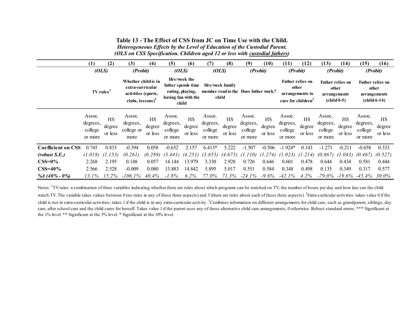**Table 13 - The Effect of CSS from JC on Time Use with the Child.** *Heterogeneous Effects by the Level of Education of the Custodial Parent. (OLS on CSS Specification. Children aged 12 or less with custodial fathers)*

|                           | (1)                                      | (2)                            | (3)                                                                                   | $\left(4\right)$               | (5)                                      | (6)                                                                                    | (7)                                      | (8)                            | (9)                                      | (10)                           | (11)                                     | (12)                                                | (13)                                     | (14)                                                                        | (15)                                     | (16)                                            |
|---------------------------|------------------------------------------|--------------------------------|---------------------------------------------------------------------------------------|--------------------------------|------------------------------------------|----------------------------------------------------------------------------------------|------------------------------------------|--------------------------------|------------------------------------------|--------------------------------|------------------------------------------|-----------------------------------------------------|------------------------------------------|-----------------------------------------------------------------------------|------------------------------------------|-------------------------------------------------|
|                           | (OLS)                                    |                                | (Probit)                                                                              |                                | (OLS)                                    |                                                                                        | (OLS)                                    |                                | (Probit)                                 |                                | (Probit)                                 |                                                     | (Probit)                                 |                                                                             | (Probit)                                 |                                                 |
|                           | <b>TV</b> rules                          |                                | Whether child is in<br>extra-curricular<br>activities (sports,<br>clubs, $lessons)^2$ |                                |                                          | Hrs/week the<br>father spends time<br>eating, playing,<br>having fun with the<br>child |                                          | Hrs/week family<br>child       | member read to the Does father work?     |                                | care for children <sup>3</sup>           | <b>Father relies on</b><br>other<br>arrangements to | other                                    | <b>Father relies on</b><br>arrangements<br>$\left(\text{child } 0.5\right)$ | other<br>arrangements                    | <b>Father relies on</b><br>$\left($ child 6-14) |
|                           | Assoc.<br>degrees,<br>college<br>or more | <b>HS</b><br>degree<br>or less | Assoc.<br>degrees,<br>college or<br>more                                              | <b>HS</b><br>degree<br>or less | Assoc.<br>degrees,<br>college<br>or more | <b>HS</b><br>degree<br>or less                                                         | Assoc.<br>degrees,<br>college<br>or more | <b>HS</b><br>degree<br>or less | Assoc.<br>degrees,<br>college<br>or more | <b>HS</b><br>degree<br>or less | Assoc.<br>degrees,<br>college<br>or more | HS<br>degree<br>or less                             | Assoc.<br>degrees,<br>college<br>or more | <b>HS</b><br>degree<br>or less                                              | Assoc.<br>degrees,<br>college<br>or more | <b>HS</b><br>degree<br>or less                  |
| <b>Coefficient on CSS</b> | 0.745                                    | 0.833                          | $-0.394$                                                                              | 0.058                          | $-0.652$                                 | 2.157                                                                                  | $6.413*$                                 | 5.222                          | $-1.507$                                 | $-0.506$                       | $-1.924*$                                | 0.143                                               | $-1.271$                                 | $-0.211$                                                                    | $-0.658$                                 | 0.333                                           |
| (robust S.E.)             | (1.018)                                  | (1.153)                        | (0.261)                                                                               | (0.289)                        | (3.441)                                  | (4.251)                                                                                | (3.855)                                  | (4.675)                        | (1.110)                                  | (1.274)                        | (1.023)                                  | (1.214)                                             | (0.867)                                  | (1.043)                                                                     | (0.467)                                  | (0.527)                                         |
| $\text{CSS}=0\%$          | 2.268                                    | 2.195                          | 0.148                                                                                 | 0.057                          | 14.144                                   | 13.979                                                                                 | 3.330                                    | 2.928                          | 0.726                                    | 0.646                          | 0.601                                    | 0.478                                               | 0.644                                    | 0.434                                                                       | 0.581                                    | 0.444                                           |
| $CSS=40\%$                | 2.566                                    | 2.528                          | $-0.009$                                                                              | 0.080                          | 13.883                                   | 14.842                                                                                 | 5.895                                    | 5.017                          | 0.551                                    | 0.584                          | 0.348                                    | 0.498                                               | 0.135                                    | 0.349                                                                       | 0.317                                    | 0.577                                           |
| % $40\% - 0\%$            | 13.1%                                    | 15.2%                          | $-106.1\%$                                                                            | 40.4%                          | $-1.8%$                                  | 6.2%                                                                                   | 77.0%                                    | 71.3%                          | $-24.1\%$                                | $-9.6\%$                       | $-42.1\%$                                | $4.2\%$                                             |                                          |                                                                             | $-79.0\% -19.6\% -45.4\%$                | 30.0%                                           |

<span id="page-54-0"></span>Notes: <sup>1</sup>TV rules: a combination of three variables indicating whether there are rules about which programs can be watched on TV, the number of hours per day and how late can the child watch TV. The variable takes values between 0 (no rules in any of these three aspects) and 3 (there are rules about each of these three aspects).  $^2$ Extra-curricular activities: takes value 0 if the child is not in extra-curricular activities; takes 1 if the child is in any extra-curricular activity. <sup>3</sup> Combines information on different arrangements for child care, such as grandparent, siblings, day care, after school care and the child cares for herself. Takes value 1 if the parent uses any of these alternative child care arrangements, 0 otherwise. Robust standard errors. \*\*\* Significant at the 1% level. \*\* Significant at the 5% level. \* Significant at the 10% level.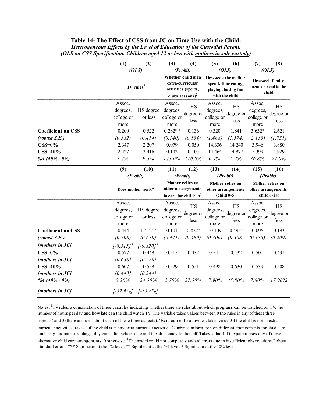<span id="page-55-0"></span>

|                           | (1)<br>(2)                               |                       | (3)                                                     | (4)                                                            | (5)                                      | (6)                                                           | (7)                                                                     | (8)                            |
|---------------------------|------------------------------------------|-----------------------|---------------------------------------------------------|----------------------------------------------------------------|------------------------------------------|---------------------------------------------------------------|-------------------------------------------------------------------------|--------------------------------|
|                           |                                          | (OLS)                 | (Probit)                                                |                                                                | (OLS)                                    |                                                               | (OLS)                                                                   |                                |
|                           |                                          | TV rules <sup>1</sup> | activities (sports,                                     | Whether child is in<br>extra-curricular<br>clubs, $lessons)^2$ | Hrs/week the mother                      | spends time eating,<br>playing, having fun<br>with the child  | Hrs/week family<br>member read to the<br>child                          |                                |
|                           | Assoc.<br>degrees,<br>college or<br>more | HS degree<br>or less  | Assoc.<br>degrees,<br>college or<br>more                | <b>HS</b><br>degree or<br>less                                 | Assoc.<br>degrees,<br>college or<br>more | <b>HS</b><br>degree or<br>less                                | Assoc.<br>degrees,<br>college or<br>more                                | <b>HS</b><br>degree or<br>less |
| <b>Coefficient on CSS</b> | 0.200                                    | 0.522                 | $0.282**$                                               | 0.136                                                          | 0.320                                    | 1.841                                                         | $3.632*$                                                                | 2.621                          |
| (robust S.E.)             | (0.382)                                  | (0.414)               | (0.140)                                                 | (0.134)                                                        | (1.468)                                  | (1.574)                                                       | (2.133)                                                                 | (1.731)                        |
| $CSS=0%$                  | 2.347                                    | 2.207                 | 0.079                                                   | 0.050                                                          | 14.336                                   | 14.240                                                        | 3.946                                                                   | 3.880                          |
| $CSS=40%$                 | 2.427                                    | 2.416                 | 0.192                                                   | 0.105                                                          | 14.464                                   | 14.977                                                        | 5.399                                                                   | 4.929                          |
| % $\Delta$ (40% - 0%)     | 3.4%                                     | 9.5%                  | 143.0%                                                  | 110.0%                                                         | 0.9%                                     | 5.2%                                                          | 36.8%                                                                   | 27.0%                          |
|                           | (9)                                      | (10)                  | (11)                                                    | (12)                                                           | (13)                                     | (14)                                                          | (15)                                                                    | (16)                           |
|                           |                                          | (Probit)              | (Probit)                                                |                                                                | (Probit)                                 |                                                               | (Probit)                                                                |                                |
|                           |                                          | Does mother work?     | other arrangements<br>to care for children <sup>3</sup> | Mother relies on                                               |                                          | Mother relies on<br>other arrangements<br>$\left($ child 0-5) | Mother relies on<br>other arrangements<br>$\left($ child 6-14 $\right)$ |                                |
|                           | Assoc.<br>degrees,<br>college or<br>more | HS degree<br>or less  | Assoc.<br>degrees,<br>college or                        | <b>HS</b><br>degree or<br>less                                 | Assoc.<br>degrees,<br>college or         | <b>HS</b><br>degree or<br>less                                | Assoc.<br>degrees,<br>college or                                        | <b>HS</b><br>degree or<br>less |
|                           |                                          |                       | more                                                    |                                                                | more                                     |                                                               | more                                                                    |                                |
| <b>Coefficient on CSS</b> | 0.444                                    | $1.412**$             | 0.101                                                   | $0.822*$                                                       | $-0.109$                                 | $0.495*$                                                      | 0.096                                                                   | 0.193                          |
| (robust S.E.)             | (0.708)                                  | (0.670)               | (0.441)                                                 | (0.480)                                                        | (0.306)                                  | (0.308)                                                       | (0.185)                                                                 | (0.209)                        |
| [mothers in JC]           | $[-0.515]^4$                             | $[-0.820]^{4}$        |                                                         |                                                                |                                          |                                                               |                                                                         |                                |
| $CSS=0%$                  | 0.577                                    | 0.449                 | 0.515                                                   | 0.432                                                          | 0.541                                    | 0.432                                                         | 0.501                                                                   | 0.431                          |
| [mothers in JC]           | [0.658]                                  | [0.520]               |                                                         |                                                                |                                          |                                                               |                                                                         |                                |
| $CSS=40\%$                | 0.607                                    | 0.559                 | 0.529                                                   | 0.551                                                          | 0.498                                    | 0.630                                                         | 0.539                                                                   | 0.508                          |
| [mothers in JC]           | [0.443]                                  | [0.344]               |                                                         |                                                                |                                          |                                                               |                                                                         |                                |
| % $\frac{40\%}{60\%}$     | 5.20%                                    | 24.50%                | 2.70%                                                   | 27.50%                                                         | $-7.90\%$                                | 45.80%                                                        | 7.60%                                                                   | 17.90%                         |

**Table 14- The Effect of CSS from JC on Time Use with the Child.** *Heterogeneous Effects by the Level of Education of the Custodial Parent. (OLS on CSS Specification. Children aged 12 or less with mothers in sole custody)*

Notes: <sup>1</sup>TV rules: a combination of three variables indicating whether there are rules about which programs can be watched on TV, the number of hours per day and how late can the child watch TV. The variable takes values between 0 (no rules in any of these three aspects) and 3 (there are rules about each of these three aspects).  $^2$ Extra-curricular activities: takes value 0 if the child is not in extracurricular activities; takes 1 if the child is in any extra-curricular activity. <sup>3</sup> Combines information on different arrangements for child care, such as grandparent, siblings, day care, after school care and the child cares for herself. Takes value 1 if the parent uses any of these alternative child care arrangements, 0 otherwise. <sup>4</sup>The model could not compute standard errors due to insufficient observations.Robust standard errors. \*\*\* Significant at the 1% level. \*\* Significant at the 5% level. \* Significant at the 10% level.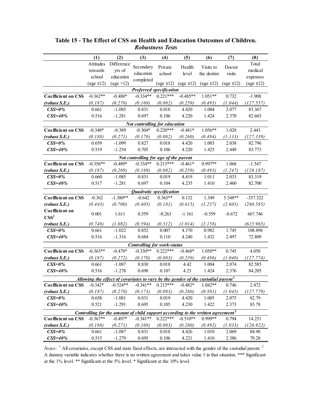<span id="page-56-0"></span>

|                           | (1)             | (2)                                                                                          | (3)                                   | (4)             | (5)                    | (6)                     | (7)                     | (8)             |
|---------------------------|-----------------|----------------------------------------------------------------------------------------------|---------------------------------------|-----------------|------------------------|-------------------------|-------------------------|-----------------|
|                           | Attitudes       | Difference                                                                                   |                                       |                 |                        |                         |                         | Total           |
|                           | towards         | yrs of                                                                                       | Secondary                             | Private         | Health                 | Visits to               | Doctor                  | medical         |
|                           | school          | education                                                                                    | education                             | school          | level                  | the dentist             | visits                  | expenses        |
|                           | (age $\leq$ 12) | $(\text{age} > 12)$                                                                          | completed                             | (age $\leq$ 12) | $\text{(age} \leq 12)$ | $\text{(age } \leq 12)$ | $\text{(age } \leq 12)$ | (age $\leq$ 12) |
|                           |                 |                                                                                              | <b>Preferred specification</b>        |                 |                        |                         |                         |                 |
| <b>Coefficient on CSS</b> | $-0.362**$      | $-0.488*$                                                                                    | $-0.334**$                            | $0.221***$      | $-0.485**$             | $1.051**$               | 0.732                   | $-1.908$        |
| (robust S.E.)             | (0.187)         | (0.270)                                                                                      | (0.169)                               | (0.082)         | (0.259)                | (0.495)                 | (1.044)                 | (127.557)       |
| $\text{CSS}=0\%$          | 0.661           | $-1.085$                                                                                     | 0.831                                 | 0.018           | 4.420                  | 1.004                   | 2.077                   | 83.367          |
| $CSS = 40\%$              | 0.516           | $-1.281$                                                                                     | 0.697                                 | 0.106           | 4.220                  | 1.424                   | 2.370                   | 82.603          |
|                           |                 |                                                                                              | Not controlling for education         |                 |                        |                         |                         |                 |
| <b>Coefficient on CSS</b> | $-0.348*$       | $-0.389$                                                                                     | $-0.304*$                             | $0.220***$      | $-0.481*$              | $1.056**$               | 1.028                   | 2.443           |
| (robust S.E.)             | (0.188)         | (0.271)                                                                                      | (0.170)                               | (0.082)         | (0.260)                | (0.494)                 | (1.133)                 | (127.339)       |
| $\text{CSS}=0\%$          | 0.659           | $-1.099$                                                                                     | 0.827                                 | 0.018           | 4.420                  | 1.003                   | 2.038                   | 82.796          |
| $CSS = 40%$               | 0.519           | $-1.254$                                                                                     | 0.705                                 | 0.106           | 4.220                  | 1.425                   | 2.449                   | 83.773          |
|                           |                 |                                                                                              | Not controlling for age of the parent |                 |                        |                         |                         |                 |
| <b>Coefficient on CSS</b> | $-0.356**$      | $-0.489*$                                                                                    | $-0.334**$                            | $0.213***$      | $-0.461*$              | $0.997**$               | 1.068                   | $-1.547$        |
| (robust S.E.)             | (0.187)         | (0.269)                                                                                      | (0.169)                               | (0.082)         | (0.259)                | (0.493)                 | (1.247)                 | (128.187)       |
| $\text{CSS}=0\%$          | 0.660           | $-1.085$                                                                                     | 0.831                                 | 0.019           | 4.419                  | 1.011                   | 2.033                   | 83.319          |
| $CSS = 40\%$              | 0.517           | $-1.281$                                                                                     | 0.697                                 | 0.104           | 4.235                  | 1.410                   | 2.460                   | 82.700          |
|                           |                 |                                                                                              | Quadratic specification               |                 |                        |                         |                         |                 |
| <b>Coefficient on CSS</b> | $-0.362$        | $-1.380**$                                                                                   | $-0.642$                              | $0.363**$       | 0.132                  | 1.349                   | 5.348**                 | $-357.322$      |
| (robust S.E.)             | (0.443)         | (0.700)                                                                                      | (0.405)                               | (0.181)         | (0.615)                | (1.257)                 | (2.605)                 | (280.585)       |
| Coefficient on            | 0.001           | 1.611                                                                                        | 0.559                                 | $-0.263$        | $-1.161$               | $-0.559$                | $-8.672$                | 667.746         |
| $\text{CSS}^2$            |                 |                                                                                              |                                       |                 |                        |                         |                         |                 |
| (robust S.E.)             | (0.748)         | (1.082)                                                                                      | (0.594)                               | (0.312)         | (1.014)                | (2.158)                 |                         | (615.965)       |
| $\text{CSS}=0\%$          | 0.661           | $-1.022$                                                                                     | 0.852                                 | 0.007           | 4.370                  | 0.982                   | 1.745                   | 108.898         |
| $CSS = 40\%$              | 0.516           | $-1.316$                                                                                     | 0.684                                 | 0.110           | 4.240                  | 1.432                   | 2.497                   | 72.809          |
|                           |                 |                                                                                              | <b>Controlling for work-status</b>    |                 |                        |                         |                         |                 |
| <b>Coefficient on CSS</b> | $-0.363**$      | $-0.478*$                                                                                    | $-0.330**$                            | $0.222***$      | $-0.468*$              | $1.050**$               | 0.745                   | 4.050           |
| (robust S.E.)             | (0.187)         | (0.272)                                                                                      | (0.170)                               | (0.083)         | (0.259)                | (0.496)                 | (1.040)                 | (127.774)       |
| $\text{CSS}=0\%$          | 0.661           | $-1.087$                                                                                     | 0.830                                 | 0.018           | 4.42                   | 1.004                   | 2.074                   | 82.585          |
| $CSS = 40%$               | 0.516           | $-1.278$                                                                                     | 0.698                                 | 0.107           | 4.23                   | 1.424                   | 2.376                   | 84.205          |
|                           |                 | Allowing the effect of covariates to vary by the gender of the custodial parent <sup>1</sup> |                                       |                 |                        |                         |                         |                 |
| <b>Coefficient on CSS</b> | $-0.342*$       | $-0.524**$                                                                                   | $-0.341**$                            | $0.215***$      | $-0.482*$              | $1.042**$               | 0.746                   | 2.472           |
| (robust S.E.)             | (0.187)         | (0.270)                                                                                      | (0.173)                               | (0.083)         | (0.260)                | (0.501)                 | (1.045)                 | (127.779)       |
| $\text{CSS}=0\%$          | 0.658           | $-1.081$                                                                                     | 0.831                                 | 0.019           | 4.420                  | 1.005                   | 2.075                   | 82.79           |
| $CSS = 40%$               | 0.521           | $-1.291$                                                                                     | 0.695                                 | 0.105           | 4.230                  | 1.422                   | 2.373                   | 83.78           |
|                           |                 | Controlling for the amount of child support according to the written agreement <sup>2</sup>  |                                       |                 |                        |                         |                         |                 |
| <b>Coefficient on CSS</b> | $-0.367**$      | $-0.497*$                                                                                    | $-0.341**$                            | $0.222***$      | $-0.510**$             | 0.999**                 | 0.794                   | 14.251          |
| (robust S.E.)             | (0.188)         | (0.271)                                                                                      | (0.169)                               | (0.083)         | (0.260)                | (0.492)                 | (1.033)                 | (126.922)       |
| $CSS=0%$                  | 0.661           | $-1.087$                                                                                     | 0.831                                 | 0.018           | 4.426                  | 1.010                   | 2.069                   | 84.98           |
| $CSS = 40%$               | 0.515           | $-1.279$                                                                                     | 0.695                                 | 0.106           | 4.221                  | 1.410                   | 2.386                   | 79.28           |

## **Table 15 - The Effect of CSS on Health and Education Outcomes of Children.** *Robustness Tests*

*Notes*: <sup>1</sup> All covariates, except CSS and state fixed effects, are interacted with the gender of the custodial parent. <sup>2</sup> A dummy variable indicates whether there is no written agreement and takes value 1 in that situation. \*\*\* Significant at the 1% level. \*\* Significant at the 5% level. \* Significant at the 10% level.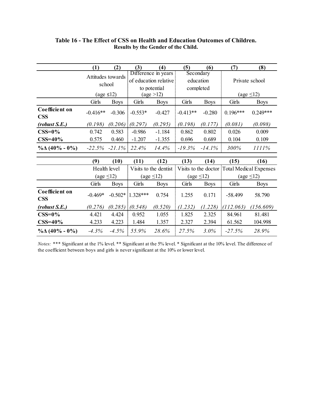|                              | (1)                         | (2)               | (3)                                      | (4)                                                          | (5)                    | (6)                                 | (7)                                                                   | (8)            |  |
|------------------------------|-----------------------------|-------------------|------------------------------------------|--------------------------------------------------------------|------------------------|-------------------------------------|-----------------------------------------------------------------------|----------------|--|
|                              | Attitudes towards<br>school |                   |                                          | Difference in years<br>of education relative<br>to potential |                        | Secondary<br>education<br>completed |                                                                       | Private school |  |
|                              | (age $\leq$ 12)             |                   |                                          | $(\text{age} > 12)$                                          |                        |                                     | (age $\leq$ 12)                                                       |                |  |
|                              | Girls                       | <b>Boys</b>       | Girls                                    | <b>Boys</b>                                                  | Girls                  | <b>Boys</b>                         | Girls                                                                 | <b>Boys</b>    |  |
| Coefficient on<br><b>CSS</b> | $-0.416**$                  | $-0.306$          | $-0.553*$                                | $-0.427$                                                     | $-0.413**$             | $-0.280$                            | $0.196***$                                                            | $0.249***$     |  |
| (robust S.E.)                | (0.198)                     | (0.206)           | (0.297)                                  | (0.295)                                                      | (0.198)                | (0.177)                             | (0.081)                                                               | (0.098)        |  |
| $CSS=0%$                     | 0.742                       | 0.583             | $-0.986$                                 | $-1.184$                                                     | 0.862                  | 0.802                               | 0.026                                                                 | 0.009          |  |
| $CSS=40\%$                   | 0.575                       | 0.460             | $-1.207$                                 | $-1.355$                                                     | 0.696                  | 0.689                               | 0.104                                                                 | 0.109          |  |
| $\%$ $\Delta$ (40% - 0%)     |                             | $-22.5\% -21.1\%$ | 22.4%                                    | 14.4%                                                        | $-19.3%$               | $-14.1%$                            | 300%                                                                  | 1111%          |  |
|                              | (9)                         | (10)              | (11)                                     | (12)                                                         | (13)                   | (14)                                | (15)                                                                  | (16)           |  |
|                              |                             | Health level      |                                          |                                                              |                        |                                     |                                                                       |                |  |
|                              | (age $\leq$ 12)             |                   | Visits to the dentist<br>(age $\leq$ 12) |                                                              | $\text{(age} \leq 12)$ |                                     | Visits to the doctor Total Medical Expenses<br>$\text{(age} \leq 12)$ |                |  |
|                              | Girls                       | <b>Boys</b>       | Girls                                    | <b>Boys</b>                                                  | Girls                  | <b>Boys</b>                         | Girls                                                                 | <b>Boys</b>    |  |
| Coefficient on<br><b>CSS</b> | $-0.469*$                   | $-0.502*$         | $1.328***$                               | 0.754                                                        | 1.255                  | 0.171                               | $-58.499$                                                             | 58.790         |  |
| (robust S.E.)                | (0.276)                     | (0.285)           | (0.548)                                  | (0.520)                                                      | (1.232)                | (1.228)                             | (112.063)                                                             | (156.609)      |  |
| $CSS=0%$                     | 4.421                       | 4.424             | 0.952                                    | 1.055                                                        | 1.825                  | 2.325                               | 84.961                                                                | 81.481         |  |
| $CSS=40\%$                   | 4.233                       | 4.223             | 1.484                                    | 1.357                                                        | 2.327                  | 2.394                               | 61.562                                                                | 104.998        |  |
| $\%$ $\Delta$ (40% - 0%)     | $-4.3%$                     | $-4.5%$           | 55.9%                                    | 28.6%                                                        | 27.5%                  | 3.0%                                | $-27.5%$                                                              | 28.9%          |  |

## <span id="page-57-0"></span>**Table 16 - The Effect of CSS on Health and Education Outcomes of Children. Results by the Gender of the Child.**

*Notes:* \*\*\* Significant at the 1% level. \*\* Significant at the 5% level. \* Significant at the 10% level. The difference of the coefficient between boys and girls is never significant at the 10% or lower level.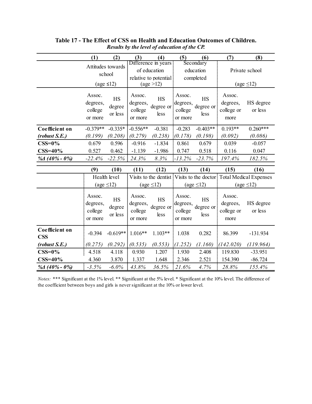|                              | (1)                                            | (2)                                    | (3)                                      | (4)                                                                                 | (5)                                      | (6)                                     | (7)                                                                                  | (8)                               |  |
|------------------------------|------------------------------------------------|----------------------------------------|------------------------------------------|-------------------------------------------------------------------------------------|------------------------------------------|-----------------------------------------|--------------------------------------------------------------------------------------|-----------------------------------|--|
|                              | Attitudes towards<br>school<br>(age $\leq$ 12) |                                        |                                          | Difference in years<br>of education<br>relative to potential<br>$(\text{age} > 12)$ |                                          | Secondary<br>education<br>completed     |                                                                                      | Private school<br>(age $\leq$ 12) |  |
|                              | Assoc.<br>degrees,<br>college<br>or more       | <b>HS</b><br>degree<br>or less         | Assoc.<br>degrees,<br>college<br>or more | <b>HS</b><br>degree or<br>less                                                      | Assoc.<br>degrees,<br>college<br>or more | <b>HS</b><br>degree or<br>less          | Assoc.<br>degrees,<br>college or<br>more                                             | HS degree<br>or less              |  |
| Coefficient on               | $-0.379**$                                     | $-0.335*$                              | $-0.556**$                               | $-0.381$                                                                            | $-0.283$                                 | $-0.403**$                              | $0.193**$                                                                            | $0.260***$                        |  |
| (robust S.E.)<br>$CSS=0\%$   | (0.199)<br>0.679                               | (0.208)<br>0.596                       | (0.279)<br>$-0.916$                      | (0.238)<br>$-1.834$                                                                 | (0.178)<br>0.861                         | (0.198)<br>0.679                        | (0.092)<br>0.039                                                                     | (0.086)<br>$-0.057$               |  |
| $CSS = 40%$                  | 0.527                                          | 0.462                                  | $-1.139$                                 | $-1.986$                                                                            | 0.747                                    | 0.518                                   | 0.116                                                                                | 0.047                             |  |
| % $\frac{1}{40\%}$ - 0%)     | $-22.4%$                                       | $-22.5%$                               | 24.3%                                    | 8.3%                                                                                | $-13.2\%$                                | $-23.7%$                                | 197.4%                                                                               | 182.5%                            |  |
|                              | (9)                                            | (10)                                   | (11)                                     | (12)                                                                                | (13)                                     | (14)                                    | (15)                                                                                 | (16)                              |  |
|                              |                                                | Health level<br>$\text{(age} \leq 12)$ | $\text{(age} \leq 12)$                   |                                                                                     |                                          | (age $\leq$ 12)                         | Visits to the dentist Visits to the doctor Total Medical Expenses<br>(age $\leq$ 12) |                                   |  |
|                              | Assoc.<br>degrees,<br>college<br>or more       | HS<br>degree<br>or less                | Assoc.<br>degrees,<br>college<br>or more | <b>HS</b><br>degree or<br>less                                                      | Assoc.<br>college<br>or more             | <b>HS</b><br>degrees, degree or<br>less | Assoc.<br>degrees,<br>college or<br>more                                             | HS degree<br>or less              |  |
| Coefficient on<br><b>CSS</b> | $-0.394$                                       | $-0.619**$                             | $1.016**$                                | $1.103**$                                                                           | 1.038                                    | 0.282                                   | 86.399                                                                               | $-131.934$                        |  |
| (robust S.E.)                | (0.275)                                        | (0.292)                                | (0.535)                                  | (0.553)                                                                             | (1.252)                                  | (1.160)                                 | (142.020)                                                                            | (119.964)                         |  |
| $CSS=0\%$                    | 4.518                                          | 4.118                                  | 0.930                                    | 1.207                                                                               | 1.930                                    | 2.408                                   | 119.830                                                                              | $-33.951$                         |  |
| $CSS=40\%$                   |                                                |                                        |                                          |                                                                                     |                                          |                                         |                                                                                      |                                   |  |
| % $40\% - 0\%$               | 4.360                                          | 3.870                                  | 1.337                                    | 1.648                                                                               | 2.346                                    | 2.521                                   | 154.390                                                                              | $-86.724$                         |  |

## **Table 17 - The Effect of CSS on Health and Education Outcomes of Children.** *Results by the level of education of the CP.*

*Notes:* \*\*\* Significant at the 1% level. \*\* Significant at the 5% level. \* Significant at the 10% level. The difference of the coefficient between boys and girls is never significant at the 10% or lower level.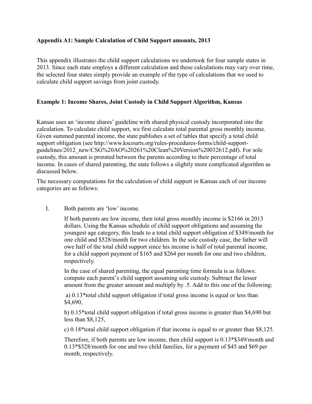## **Appendix A1: Sample Calculation of Child Support amounts, 2013**

This appendix illustrates the child support calculations we undertook for four sample states in 2013. Since each state employs a different calculation and these calculations may vary over time, the selected four states simply provide an example of the type of calculations that we used to calculate child support savings from joint custody.

## **Example 1: Income Shares, Joint Custody in Child Support Algorithm, Kansas**

Kansas uses an 'income shares' guideline with shared physical custody incorporated into the calculation. To calculate child support, we first calculate total parental gross monthly income. Given summed parental income, the state publishes a set of tables that specify a total child support obligation (see http://www.kscourts.org/rules-procedures-forms/child-supportguidelines/2012\_new/CSG%20AO%20261%20Clean%20Version%20032612.pdf). For sole custody, this amount is prorated between the parents according to their percentage of total income. In cases of shared parenting, the state follows a slightly more complicated algorithm as discussed below.

The necessary computations for the calculation of child support in Kansas each of our income categories are as follows:

## I. Both parents are 'low' income.

If both parents are low income, then total gross monthly income is \$2166 in 2013 dollars. Using the Kansas schedule of child support obligations and assuming the youngest age category, this leads to a total child support obligation of \$349/month for one child and \$528/month for two children. In the sole custody case, the father will owe half of the total child support since his income is half of total parental income, for a child support payment of \$165 and \$264 per month for one and two children, respectively.

In the case of shared parenting, the equal parenting time formula is as follows: compute each parent's child support assuming sole custody. Subtract the lesser amount from the greater amount and multiply by .5. Add to this one of the following:

a) 0.13\*total child support obligation if total gross income is equal or less than \$4,690,

b) 0.15\*total child support obligation if total gross income is greater than \$4,690 but less than \$8,125,

c) 0.18\*total child support obligation if that income is equal to or greater than \$8,125.

Therefore, if both parents are low income, then child support is 0.13\*\$349/month and 0.13\*\$528/month for one and two child families, for a payment of \$45 and \$69 per month, respectively.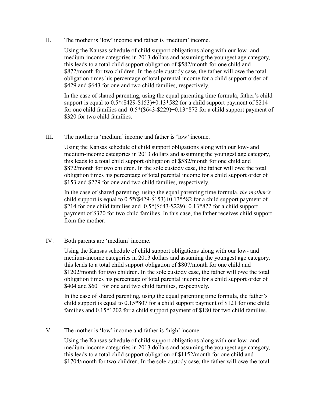II. The mother is 'low' income and father is 'medium' income.

Using the Kansas schedule of child support obligations along with our low- and medium-income categories in 2013 dollars and assuming the youngest age category, this leads to a total child support obligation of \$582/month for one child and \$872/month for two children. In the sole custody case, the father will owe the total obligation times his percentage of total parental income for a child support order of \$429 and \$643 for one and two child families, respectively.

In the case of shared parenting, using the equal parenting time formula, father's child support is equal to 0.5\*(\$429-\$153)+0.13\*582 for a child support payment of \$214 for one child families and 0.5\*(\$643-\$229)+0.13\*872 for a child support payment of \$320 for two child families.

III. The mother is 'medium' income and father is 'low' income.

Using the Kansas schedule of child support obligations along with our low- and medium-income categories in 2013 dollars and assuming the youngest age category, this leads to a total child support obligation of \$582/month for one child and \$872/month for two children. In the sole custody case, the father will owe the total obligation times his percentage of total parental income for a child support order of \$153 and \$229 for one and two child families, respectively.

In the case of shared parenting, using the equal parenting time formula, *the mother's* child support is equal to  $0.5*(\$429-\$153)+0.13*582$  for a child support payment of \$214 for one child families and  $0.5*(\$643-\$229)+0.13*872$  for a child support payment of \$320 for two child families. In this case, the father receives child support from the mother.

IV. Both parents are 'medium' income.

Using the Kansas schedule of child support obligations along with our low- and medium-income categories in 2013 dollars and assuming the youngest age category, this leads to a total child support obligation of \$807/month for one child and \$1202/month for two children. In the sole custody case, the father will owe the total obligation times his percentage of total parental income for a child support order of \$404 and \$601 for one and two child families, respectively.

In the case of shared parenting, using the equal parenting time formula, the father's child support is equal to 0.15\*807 for a child support payment of \$121 for one child families and 0.15\*1202 for a child support payment of \$180 for two child families.

V. The mother is 'low' income and father is 'high' income.

Using the Kansas schedule of child support obligations along with our low- and medium-income categories in 2013 dollars and assuming the youngest age category, this leads to a total child support obligation of \$1152/month for one child and \$1704/month for two children. In the sole custody case, the father will owe the total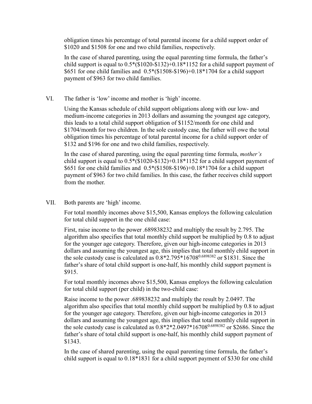obligation times his percentage of total parental income for a child support order of \$1020 and \$1508 for one and two child families, respectively.

In the case of shared parenting, using the equal parenting time formula, the father's child support is equal to 0.5\*(\$1020-\$132)+0.18\*1152 for a child support payment of \$651 for one child families and 0.5\*(\$1508-\$196)+0.18\*1704 for a child support payment of \$963 for two child families.

VI. The father is 'low' income and mother is 'high' income.

Using the Kansas schedule of child support obligations along with our low- and medium-income categories in 2013 dollars and assuming the youngest age category, this leads to a total child support obligation of \$1152/month for one child and \$1704/month for two children. In the sole custody case, the father will owe the total obligation times his percentage of total parental income for a child support order of \$132 and \$196 for one and two child families, respectively.

In the case of shared parenting, using the equal parenting time formula, *mother's*  child support is equal to 0.5\*(\$1020-\$132)+0.18\*1152 for a child support payment of \$651 for one child families and 0.5\*(\$1508-\$196)+0.18\*1704 for a child support payment of \$963 for two child families. In this case, the father receives child support from the mother.

VII. Both parents are 'high' income.

For total monthly incomes above \$15,500, Kansas employs the following calculation for total child support in the one child case:

First, raise income to the power .689838232 and multiply the result by 2.795. The algorithm also specifies that total monthly child support be multiplied by 0.8 to adjust for the younger age category. Therefore, given our high-income categories in 2013 dollars and assuming the youngest age, this implies that total monthly child support in the sole custody case is calculated as  $0.8*2.795*16708^{0.6898382}$  or \$1831. Since the father's share of total child support is one-half, his monthly child support payment is \$915.

For total monthly incomes above \$15,500, Kansas employs the following calculation for total child support (per child) in the two-child case:

Raise income to the power .689838232 and multiply the result by 2.0497. The algorithm also specifies that total monthly child support be multiplied by 0.8 to adjust for the younger age category. Therefore, given our high-income categories in 2013 dollars and assuming the youngest age, this implies that total monthly child support in the sole custody case is calculated as  $0.8*2*2.0497*16708^{0.6898382}$  or \$2686. Since the father's share of total child support is one-half, his monthly child support payment of \$1343.

In the case of shared parenting, using the equal parenting time formula, the father's child support is equal to 0.18\*1831 for a child support payment of \$330 for one child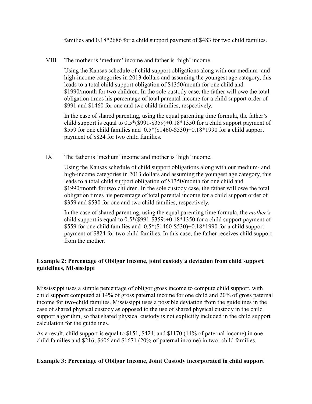families and 0.18\*2686 for a child support payment of \$483 for two child families.

VIII. The mother is 'medium' income and father is 'high' income.

Using the Kansas schedule of child support obligations along with our medium- and high-income categories in 2013 dollars and assuming the youngest age category, this leads to a total child support obligation of \$1350/month for one child and \$1990/month for two children. In the sole custody case, the father will owe the total obligation times his percentage of total parental income for a child support order of \$991 and \$1460 for one and two child families, respectively.

In the case of shared parenting, using the equal parenting time formula, the father's child support is equal to 0.5\*(\$991-\$359)+0.18\*1350 for a child support payment of \$559 for one child families and 0.5\*(\$1460-\$530)+0.18\*1990 for a child support payment of \$824 for two child families.

IX. The father is 'medium' income and mother is 'high' income.

Using the Kansas schedule of child support obligations along with our medium- and high-income categories in 2013 dollars and assuming the youngest age category, this leads to a total child support obligation of \$1350/month for one child and \$1990/month for two children. In the sole custody case, the father will owe the total obligation times his percentage of total parental income for a child support order of \$359 and \$530 for one and two child families, respectively.

In the case of shared parenting, using the equal parenting time formula, the *mother's*  child support is equal to  $0.5*(\$991-\$359)+0.18*\1350$  for a child support payment of \$559 for one child families and 0.5\*(\$1460-\$530)+0.18\*1990 for a child support payment of \$824 for two child families. In this case, the father receives child support from the mother.

## **Example 2: Percentage of Obligor Income, joint custody a deviation from child support guidelines, Mississippi**

Mississippi uses a simple percentage of obligor gross income to compute child support, with child support computed at 14% of gross paternal income for one child and 20% of gross paternal income for two-child families. Mississippi uses a possible deviation from the guidelines in the case of shared physical custody as opposed to the use of shared physical custody in the child support algorithm, so that shared physical custody is not explicitly included in the child support calculation for the guidelines.

As a result, child support is equal to \$151, \$424, and \$1170 (14% of paternal income) in onechild families and \$216, \$606 and \$1671 (20% of paternal income) in two- child families.

## **Example 3: Percentage of Obligor Income, Joint Custody incorporated in child support**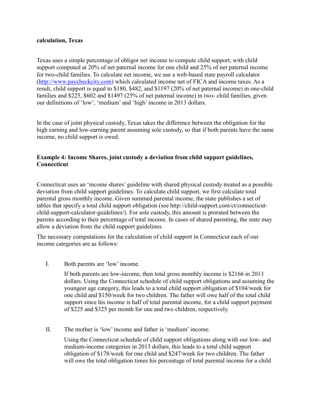## **calculation, Texas**

Texas uses a simple percentage of obligor net income to compute child support, with child support computed at 20% of net paternal income for one child and 25% of net paternal income for two-child families. To calculate net income, we use a web-based state payroll calculator [\(http://www.paycheckcity.com\)](http://www.paycheckcity.com/) which calculated income net of FICA and income taxes. As a result, child support is equal to \$180, \$482, and \$1197 (20% of net paternal income) in one-child families and \$225, \$602 and \$1497 (25% of net paternal income) in two- child families, given our definitions of 'low', 'medium' and 'high' income in 2013 dollars.

In the case of joint physical custody, Texas takes the difference between the obligation for the high earning and low-earning parent assuming sole custody, so that if both parents have the same income, no child support is owed.

## **Example 4: Income Shares, joint custody a deviation from child support guidelines, Connecticut**

Connecticut uses an 'income shares' guideline with shared physical custody treated as a possible deviation from child support guidelines. To calculate child support, we first calculate total parental gross monthly income. Given summed parental income, the state publishes a set of tables that specify a total child support obligation (see http://child-support.com/ct/connecticutchild-support-calculator-guidelines/). For sole custody, this amount is prorated between the parents according to their percentage of total income. In cases of shared parenting, the state may allow a deviation from the child support guidelines.

The necessary computations for the calculation of child support in Connecticut each of our income categories are as follows:

I. Both parents are 'low' income.

If both parents are low-income, then total gross monthly income is \$2166 in 2013 dollars. Using the Connecticut schedule of child support obligations and assuming the youngest age category, this leads to a total child support obligation of \$104/week for one child and \$150/week for two children. The father will owe half of the total child support since his income is half of total parental income, for a child support payment of \$225 and \$325 per month for one and two children, respectively.

II. The mother is 'low' income and father is 'medium' income.

Using the Connecticut schedule of child support obligations along with our low- and medium-income categories in 2013 dollars, this leads to a total child support obligation of \$178/week for one child and \$247/week for two children. The father will owe the total obligation times his percentage of total parental income for a child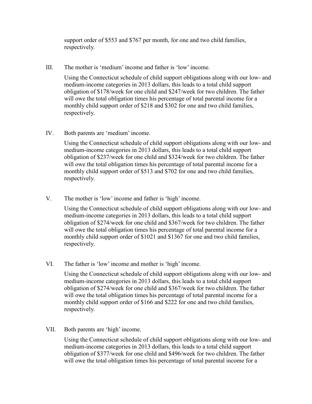support order of \$553 and \$767 per month, for one and two child families, respectively.

III. The mother is 'medium' income and father is 'low' income.

Using the Connecticut schedule of child support obligations along with our low- and medium-income categories in 2013 dollars, this leads to a total child support obligation of \$178/week for one child and \$247/week for two children. The father will owe the total obligation times his percentage of total parental income for a monthly child support order of \$218 and \$302 for one and two child families, respectively.

IV. Both parents are 'medium' income.

Using the Connecticut schedule of child support obligations along with our low- and medium-income categories in 2013 dollars, this leads to a total child support obligation of \$237/week for one child and \$324/week for two children. The father will owe the total obligation times his percentage of total parental income for a monthly child support order of \$513 and \$702 for one and two child families, respectively.

V. The mother is 'low' income and father is 'high' income.

Using the Connecticut schedule of child support obligations along with our low- and medium-income categories in 2013 dollars, this leads to a total child support obligation of \$274/week for one child and \$367/week for two children. The father will owe the total obligation times his percentage of total parental income for a monthly child support order of \$1021 and \$1367 for one and two child families, respectively.

VI. The father is 'low' income and mother is 'high' income.

Using the Connecticut schedule of child support obligations along with our low- and medium-income categories in 2013 dollars, this leads to a total child support obligation of \$274/week for one child and \$367/week for two children. The father will owe the total obligation times his percentage of total parental income for a monthly child support order of \$166 and \$222 for one and two child families, respectively.

VII. Both parents are 'high' income.

Using the Connecticut schedule of child support obligations along with our low- and medium-income categories in 2013 dollars, this leads to a total child support obligation of \$377/week for one child and \$496/week for two children. The father will owe the total obligation times his percentage of total parental income for a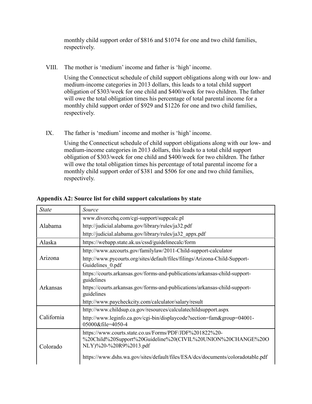monthly child support order of \$816 and \$1074 for one and two child families, respectively.

VIII. The mother is 'medium' income and father is 'high' income.

Using the Connecticut schedule of child support obligations along with our low- and medium-income categories in 2013 dollars, this leads to a total child support obligation of \$303/week for one child and \$400/week for two children. The father will owe the total obligation times his percentage of total parental income for a monthly child support order of \$929 and \$1226 for one and two child families, respectively.

IX. The father is 'medium' income and mother is 'high' income.

Using the Connecticut schedule of child support obligations along with our low- and medium-income categories in 2013 dollars, this leads to a total child support obligation of \$303/week for one child and \$400/week for two children. The father will owe the total obligation times his percentage of total parental income for a monthly child support order of \$381 and \$506 for one and two child families, respectively.

| <b>State</b> | Source                                                                                                                                            |
|--------------|---------------------------------------------------------------------------------------------------------------------------------------------------|
|              | www.divorcehq.com/cgi-support/suppcalc.pl                                                                                                         |
| Alabama      | http://judicial.alabama.gov/library/rules/ja32.pdf                                                                                                |
|              | http://judicial.alabama.gov/library/rules/ja32 appx.pdf                                                                                           |
| Alaska       | https://webapp.state.ak.us/cssd/guidelinecalc/form                                                                                                |
|              | http://www.azcourts.gov/familylaw/2011-Child-support-calculator                                                                                   |
| Arizona      | http://www.pycourts.org/sites/default/files/filings/Arizona-Child-Support-<br>Guidelines 0.pdf                                                    |
|              | https://courts.arkansas.gov/forms-and-publications/arkansas-child-support-<br>guidelines                                                          |
| Arkansas     | https://courts.arkansas.gov/forms-and-publications/arkansas-child-support-<br>guidelines                                                          |
|              | http://www.paycheckcity.com/calculator/salary/result                                                                                              |
|              | http://www.childsup.ca.gov/resources/calculatechildsupport.aspx                                                                                   |
| California   | http://www.leginfo.ca.gov/cgi-bin/displaycode?section=fam&group=04001-<br>05000&file=4050-4                                                       |
| Colorado     | https://www.courts.state.co.us/Forms/PDF/JDF%201822%20-<br>%20Child%20Support%20Guideline%20(CIVIL%20UNION%20CHANGE%20O<br>NLY)%20-%20R9%2013.pdf |
|              | https://www.dshs.wa.gov/sites/default/files/ESA/dcs/documents/coloradotable.pdf                                                                   |

**Appendix A2: Source list for child support calculations by state**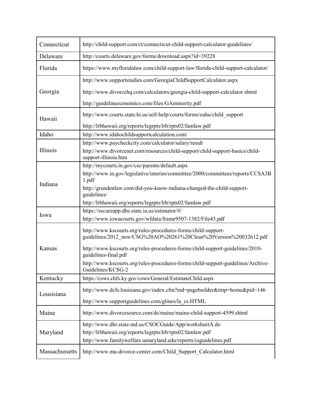| Connecticut    | http://child-support.com/ct/connecticut-child-support-calculator-guidelines/                                                       |
|----------------|------------------------------------------------------------------------------------------------------------------------------------|
| Delaware       | http://courts.delaware.gov/forms/download.aspx?id=39228                                                                            |
| Florida        | https://www.myfloridalaw.com/child-support-law/florida-child-support-calculator/                                                   |
|                | http://www.supportstudies.com/GeorgiaChildSupportCalculator.aspx                                                                   |
| Georgia        | http://www.divorcehq.com/calculators/georgia-child-support-calculator.shtml                                                        |
|                | http://guidelineeconomics.com/files/GAminority.pdf                                                                                 |
|                | http://www.courts.state.hi.us/self-help/courts/forms/oahu/child support                                                            |
| Hawaii         | http://lrbhawaii.org/reports/legrpts/lrb/rpts02/famlaw.pdf                                                                         |
| Idaho          | http://www.idahochildsupportcalculation.com/                                                                                       |
|                | http://www.paycheckcity.com/calculator/salary/result                                                                               |
| Illinois       | http://www.divorcenet.com/resources/child-support/child-support-basics/child-                                                      |
|                | support-illinois.htm                                                                                                               |
|                | http://mycourts.in.gov/csc/parents/default.aspx                                                                                    |
|                | http://www.in.gov/legislative/interim/committee/2000/committees/reports/CCSA3B<br>1.pdf                                            |
| Indiana        | http://grundenlaw.com/did-you-know-indiana-changed-the-child-support-<br>guidelines/                                               |
|                | http://lrbhawaii.org/reports/legrpts/lrb/rpts02/famlaw.pdf                                                                         |
|                | https://secureapp.dhs.state.ia.us/estimator/#/                                                                                     |
| Iowa           | http://www.iowacourts.gov/wfdata/frame9507-1382/File43.pdf                                                                         |
|                | http://www.kscourts.org/rules-procedures-forms/child-support-<br>guidelines/2012 new/CSG%20AO%20261%20Clean%20Version%20032612.pdf |
| Kansas         | http://www.kscourts.org/rules-procedures-forms/child-support-guidelines/2010-<br>guidelines-final.pdf                              |
|                | http://www.kscourts.org/rules-procedures-forms/child-support-guidelines/Archive-<br>Guidelines/KCSG-2                              |
| Kentucky       | https://csws.chfs.ky.gov/csws/General/EstimateChild.aspx                                                                           |
| Lousisiana     | http://www.dcfs.louisiana.gov/index.cfm?md=pagebuilder&tmp=home&pid=146                                                            |
|                | http://www.supportguidelines.com/glines/la_cs.HTML                                                                                 |
| Maine          | http://www.divorcesource.com/ds/maine/maine-child-support-4599.shtml                                                               |
|                | http://www.dhr.state.md.us/CSOCGuide/App/worksheetA.do                                                                             |
| Maryland       | http://lrbhawaii.org/reports/legrpts/lrb/rpts02/famlaw.pdf                                                                         |
|                | http://www.familywelfare.umaryland.edu/reports/csguidelines.pdf                                                                    |
| Massachussetts | http://www.ma-divorce-center.com/Child Support Calculator.html                                                                     |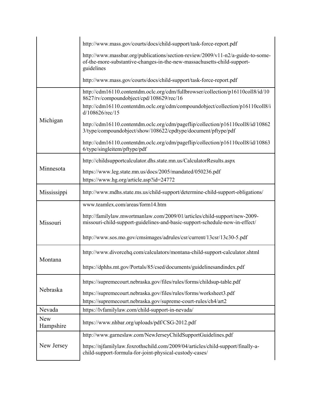|                  | http://www.mass.gov/courts/docs/child-support/task-force-report.pdf                                                                                                                                                              |  |  |  |  |  |  |
|------------------|----------------------------------------------------------------------------------------------------------------------------------------------------------------------------------------------------------------------------------|--|--|--|--|--|--|
|                  | http://www.massbar.org/publications/section-review/2009/v11-n2/a-guide-to-some-<br>of-the-more-substantive-changes-in-the-new-massachusetts-child-support-<br>guidelines                                                         |  |  |  |  |  |  |
|                  | http://www.mass.gov/courts/docs/child-support/task-force-report.pdf                                                                                                                                                              |  |  |  |  |  |  |
|                  | http://cdm16110.contentdm.oclc.org/cdm/fullbrowser/collection/p16110coll8/id/10<br>8627/rv/compoundobject/cpd/108629/rec/16<br>http://cdm16110.contentdm.oclc.org/cdm/compoundobject/collection/p16110coll8/i<br>d/108626/rec/15 |  |  |  |  |  |  |
| Michigan         | http://cdm16110.contentdm.oclc.org/cdm/pageflip/collection/p16110coll8/id/10862<br>3/type/compoundobject/show/108622/cpdtype/document/pftype/pdf                                                                                 |  |  |  |  |  |  |
|                  | http://cdm16110.contentdm.oclc.org/cdm/pageflip/collection/p16110coll8/id/10863<br>6/type/singleitem/pftype/pdf                                                                                                                  |  |  |  |  |  |  |
|                  | http://childsupportcalculator.dhs.state.mn.us/CalculatorResults.aspx                                                                                                                                                             |  |  |  |  |  |  |
| Minnesota        | https://www.leg.state.mn.us/docs/2005/mandated/050236.pdf<br>https://www.hg.org/article.asp?id=24772                                                                                                                             |  |  |  |  |  |  |
| Mississippi      | http://www.mdhs.state.ms.us/child-support/determine-child-support-obligations/                                                                                                                                                   |  |  |  |  |  |  |
|                  | www.teamlex.com/areas/form14.htm                                                                                                                                                                                                 |  |  |  |  |  |  |
| Missouri         | http://familylaw.mwortmanlaw.com/2009/01/articles/child-support/new-2009-<br>missouri-child-support-guidelines-and-basic-support-schedule-now-in-effect/                                                                         |  |  |  |  |  |  |
|                  | http://www.sos.mo.gov/cmsimages/adrules/csr/current/13csr/13c30-5.pdf                                                                                                                                                            |  |  |  |  |  |  |
| Montana          | http://www.divorcehq.com/calculators/montana-child-support-calculator.shtml                                                                                                                                                      |  |  |  |  |  |  |
|                  | https://dphhs.mt.gov/Portals/85/csed/documents/guidelinesandindex.pdf                                                                                                                                                            |  |  |  |  |  |  |
|                  | https://supremecourt.nebraska.gov/files/rules/forms/childsup-table.pdf                                                                                                                                                           |  |  |  |  |  |  |
| Nebraska         | https://supremecourt.nebraska.gov/files/rules/forms/worksheet3.pdf<br>https://supremecourt.nebraska.gov/supreme-court-rules/ch4/art2                                                                                             |  |  |  |  |  |  |
| Nevada           | https://lvfamilylaw.com/child-support-in-nevada/                                                                                                                                                                                 |  |  |  |  |  |  |
| New<br>Hampshire | https://www.nhbar.org/uploads/pdf/CSG-2012.pdf                                                                                                                                                                                   |  |  |  |  |  |  |
|                  | http://www.garneslaw.com/NewJerseyChildSupportGuidelines.pdf                                                                                                                                                                     |  |  |  |  |  |  |
| New Jersey       | https://njfamilylaw.foxrothschild.com/2009/04/articles/child-support/finally-a-<br>child-support-formula-for-joint-physical-custody-cases/                                                                                       |  |  |  |  |  |  |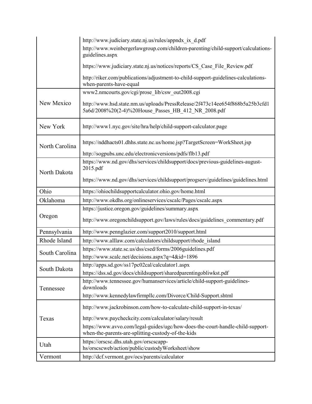|                | http://www.judiciary.state.nj.us/rules/appndx ix d.pdf                                                                               |
|----------------|--------------------------------------------------------------------------------------------------------------------------------------|
|                | http://www.weinbergerlawgroup.com/children-parenting/child-support/calculations-<br>guidelines.aspx                                  |
|                | https://www.judiciary.state.nj.us/notices/reports/CS Case File Review.pdf                                                            |
|                | http://riker.com/publications/adjustment-to-child-support-guidelines-calculations-<br>when-parents-have-equal                        |
|                | www2.nmcourts.gov/cgi/prose lib/csw out2008.cgi                                                                                      |
| New Mexico     | http://www.hsd.state.nm.us/uploads/PressRelease/2f473c14ee654f868b5a25b3cfd1<br>5a6d/2008%20(2-4)%20House Passes HB 412 NR 2008.pdf  |
| New York       | http://www1.nyc.gov/site/hra/help/child-support-calculator.page                                                                      |
| North Carolina | https://nddhacts01.dhhs.state.nc.us/home.jsp?TargetScreen=WorkSheet.jsp                                                              |
|                | http://sogpubs.unc.edu/electronicversions/pdfs/flb13.pdf                                                                             |
| North Dakota   | https://www.nd.gov/dhs/services/childsupport/docs/previous-guidelines-august-<br>2015.pdf                                            |
|                | https://www.nd.gov/dhs/services/childsupport/progserv/guidelines/guidelines.html                                                     |
| Ohio           | https://ohiochildsupportcalculator.ohio.gov/home.html                                                                                |
| Oklahoma       | http://www.okdhs.org/onlineservices/cscalc/Pages/cscalc.aspx                                                                         |
|                | https://justice.oregon.gov/guidelines/summary.aspx                                                                                   |
| Oregon         | http://www.oregonchildsupport.gov/laws/rules/docs/guidelines commentary.pdf                                                          |
| Pennsylvania   | http://www.pennglazier.com/support2010/support.html                                                                                  |
| Rhode Island   | http://www.alllaw.com/calculators/childsupport/rhode island                                                                          |
|                | https://www.state.sc.us/dss/csed/forms/2006guidelines.pdf                                                                            |
| South Carolina | http://www.scalc.net/decisions.aspx?q=4&id=1896                                                                                      |
| South Dakota   | http://apps.sd.gov/ss17pc02cal/calculator1.aspx                                                                                      |
|                | https://dss.sd.gov/docs/childsupport/sharedparentingobliwkst.pdf                                                                     |
| Tennessee      | http://www.tennessee.gov/humanservices/article/child-support-guidelines-<br>downloads                                                |
|                | http://www.kennedylawfirmpllc.com/Divorce/Child-Support.shtml                                                                        |
|                | http://www.jackrobinson.com/how-to-calculate-child-support-in-texas/                                                                 |
| Texas          | http://www.paycheckcity.com/calculator/salary/result                                                                                 |
|                | https://www.avvo.com/legal-guides/ugc/how-does-the-court-handle-child-support-<br>when-the-parents-are-splitting-custody-of-the-kids |
| Utah           | https://orscsc.dhs.utah.gov/orscscapp-<br>hs/orscscweb/action/public/custodyWorksheet/show                                           |
| Vermont        | http://dcf.vermont.gov/ocs/parents/calculator                                                                                        |